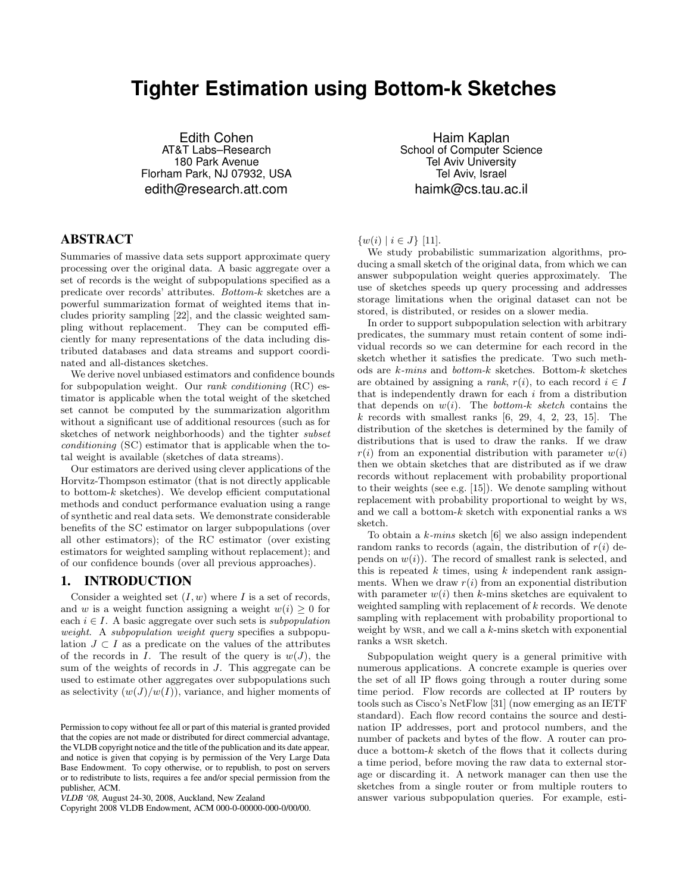# **Tighter Estimation using Bottom-k Sketches**

Edith Cohen AT&T Labs–Research 180 Park Avenue Florham Park, NJ 07932, USA edith@research.att.com

# **ABSTRACT**

Summaries of massive data sets support approximate query processing over the original data. A basic aggregate over a set of records is the weight of subpopulations specified as a predicate over records' attributes. Bottom-k sketches are a powerful summarization format of weighted items that includes priority sampling [22], and the classic weighted sampling without replacement. They can be computed efficiently for many representations of the data including distributed databases and data streams and support coordinated and all-distances sketches.

We derive novel unbiased estimators and confidence bounds for subpopulation weight. Our *rank conditioning*  $(RC)$  estimator is applicable when the total weight of the sketched set cannot be computed by the summarization algorithm without a significant use of additional resources (such as for sketches of network neighborhoods) and the tighter subset conditioning (SC) estimator that is applicable when the total weight is available (sketches of data streams).

Our estimators are derived using clever applications of the Horvitz-Thompson estimator (that is not directly applicable to bottom- $k$  sketches). We develop efficient computational methods and conduct performance evaluation using a range of synthetic and real data sets. We demonstrate considerable benefits of the SC estimator on larger subpopulations (over all other estimators); of the RC estimator (over existing estimators for weighted sampling without replacement); and of our confidence bounds (over all previous approaches).

#### **1. INTRODUCTION**

Consider a weighted set  $(I, w)$  where I is a set of records, and w is a weight function assigning a weight  $w(i) \geq 0$  for each  $i \in I$ . A basic aggregate over such sets is *subpopulation* weight. A subpopulation weight query specifies a subpopulation  $J \subset I$  as a predicate on the values of the attributes of the records in I. The result of the query is  $w(J)$ , the sum of the weights of records in J. This aggregate can be used to estimate other aggregates over subpopulations such as selectivity  $(w(J)/w(I))$ , variance, and higher moments of

Copyright 2008 VLDB Endowment, ACM 000-0-00000-000-0/00/00.

Haim Kaplan School of Computer Science Tel Aviv University Tel Aviv, Israel haimk@cs.tau.ac.il

 $\{w(i) | i \in J\}$  [11].

We study probabilistic summarization algorithms, producing a small sketch of the original data, from which we can answer subpopulation weight queries approximately. The use of sketches speeds up query processing and addresses storage limitations when the original dataset can not be stored, is distributed, or resides on a slower media.

In order to support subpopulation selection with arbitrary predicates, the summary must retain content of some individual records so we can determine for each record in the sketch whether it satisfies the predicate. Two such methods are  $k\text{-}mins$  and  $bottom\text{-}k$  sketches. Bottom- $k$  sketches are obtained by assigning a *rank*,  $r(i)$ , to each record  $i \in I$ that is independently drawn for each  $i$  from a distribution that depends on  $w(i)$ . The *bottom-k sketch* contains the  $k$  records with smallest ranks  $[6, 29, 4, 2, 23, 15]$ . The distribution of the sketches is determined by the family of distributions that is used to draw the ranks. If we draw  $r(i)$  from an exponential distribution with parameter  $w(i)$ then we obtain sketches that are distributed as if we draw records without replacement with probability proportional to their weights (see e.g. [15]). We denote sampling without replacement with probability proportional to weight by ws, and we call a bottom- $k$  sketch with exponential ranks a ws sketch.

To obtain a  $k$ -mins sketch [6] we also assign independent random ranks to records (again, the distribution of  $r(i)$  depends on  $w(i)$ . The record of smallest rank is selected, and this is repeated  $k$  times, using  $k$  independent rank assignments. When we draw  $r(i)$  from an exponential distribution with parameter  $w(i)$  then k-mins sketches are equivalent to weighted sampling with replacement of k records. We denote sampling with replacement with probability proportional to weight by WSR, and we call a k-mins sketch with exponential ranks a wsr sketch.

Subpopulation weight query is a general primitive with numerous applications. A concrete example is queries over the set of all IP flows going through a router during some time period. Flow records are collected at IP routers by tools such as Cisco's NetFlow [31] (now emerging as an IETF standard). Each flow record contains the source and destination IP addresses, port and protocol numbers, and the number of packets and bytes of the flow. A router can produce a bottom- $k$  sketch of the flows that it collects during a time period, before moving the raw data to external storage or discarding it. A network manager can then use the sketches from a single router or from multiple routers to answer various subpopulation queries. For example, esti-

Permission to copy without fee all or part of this material is granted provided that the copies are not made or distributed for direct commercial advantage, the VLDB copyright notice and the title of the publication and its date appear, and notice is given that copying is by permission of the Very Large Data Base Endowment. To copy otherwise, or to republish, to post on servers or to redistribute to lists, requires a fee and/or special permission from the publisher, ACM.

*VLDB '08,* August 24-30, 2008, Auckland, New Zealand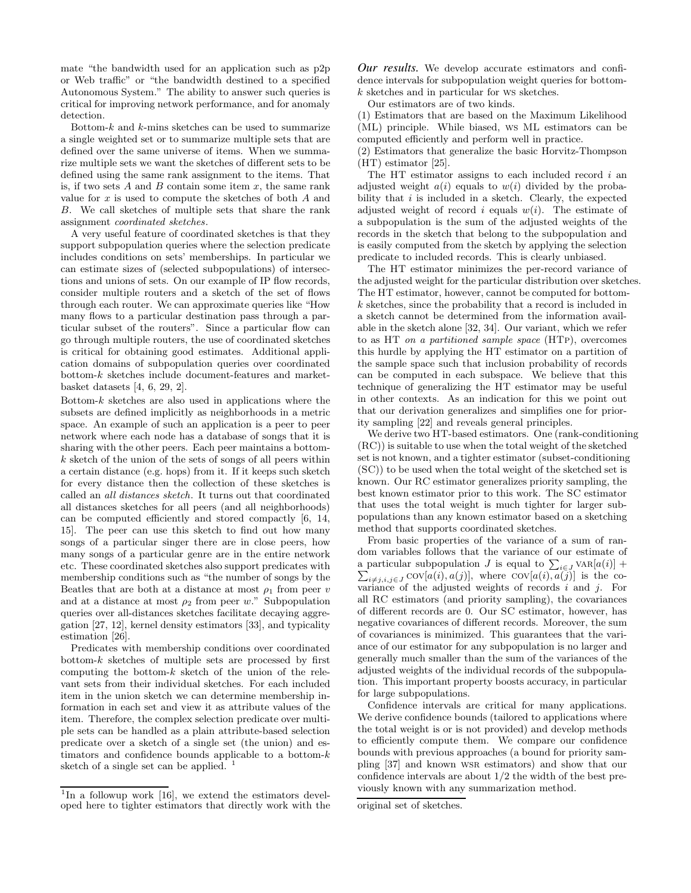mate "the bandwidth used for an application such as p2p or Web traffic" or "the bandwidth destined to a specified Autonomous System." The ability to answer such queries is critical for improving network performance, and for anomaly detection.

Bottom- $k$  and  $k$ -mins sketches can be used to summarize a single weighted set or to summarize multiple sets that are defined over the same universe of items. When we summarize multiple sets we want the sketches of different sets to be defined using the same rank assignment to the items. That is, if two sets  $A$  and  $B$  contain some item  $x$ , the same rank value for  $x$  is used to compute the sketches of both  $A$  and B. We call sketches of multiple sets that share the rank assignment coordinated sketches.

A very useful feature of coordinated sketches is that they support subpopulation queries where the selection predicate includes conditions on sets' memberships. In particular we can estimate sizes of (selected subpopulations) of intersections and unions of sets. On our example of IP flow records, consider multiple routers and a sketch of the set of flows through each router. We can approximate queries like "How many flows to a particular destination pass through a particular subset of the routers". Since a particular flow can go through multiple routers, the use of coordinated sketches is critical for obtaining good estimates. Additional application domains of subpopulation queries over coordinated bottom-k sketches include document-features and marketbasket datasets [4, 6, 29, 2].

Bottom- $k$  sketches are also used in applications where the subsets are defined implicitly as neighborhoods in a metric space. An example of such an application is a peer to peer network where each node has a database of songs that it is sharing with the other peers. Each peer maintains a bottomk sketch of the union of the sets of songs of all peers within a certain distance (e.g. hops) from it. If it keeps such sketch for every distance then the collection of these sketches is called an all distances sketch. It turns out that coordinated all distances sketches for all peers (and all neighborhoods) can be computed efficiently and stored compactly [6, 14, 15]. The peer can use this sketch to find out how many songs of a particular singer there are in close peers, how many songs of a particular genre are in the entire network etc. These coordinated sketches also support predicates with membership conditions such as "the number of songs by the Beatles that are both at a distance at most  $\rho_1$  from peer v and at a distance at most  $\rho_2$  from peer w." Subpopulation queries over all-distances sketches facilitate decaying aggregation [27, 12], kernel density estimators [33], and typicality estimation [26].

Predicates with membership conditions over coordinated bottom-k sketches of multiple sets are processed by first computing the bottom- $k$  sketch of the union of the relevant sets from their individual sketches. For each included item in the union sketch we can determine membership information in each set and view it as attribute values of the item. Therefore, the complex selection predicate over multiple sets can be handled as a plain attribute-based selection predicate over a sketch of a single set (the union) and estimators and confidence bounds applicable to a bottom- $k$ sketch of a single set can be applied. <sup>1</sup>

*Our results.* We develop accurate estimators and confidence intervals for subpopulation weight queries for bottomk sketches and in particular for ws sketches.

Our estimators are of two kinds.

(1) Estimators that are based on the Maximum Likelihood (ML) principle. While biased, ws ML estimators can be computed efficiently and perform well in practice.

(2) Estimators that generalize the basic Horvitz-Thompson (HT) estimator [25].

The HT estimator assigns to each included record  $i$  and adjusted weight  $a(i)$  equals to  $w(i)$  divided by the probability that  $i$  is included in a sketch. Clearly, the expected adjusted weight of record i equals  $w(i)$ . The estimate of a subpopulation is the sum of the adjusted weights of the records in the sketch that belong to the subpopulation and is easily computed from the sketch by applying the selection predicate to included records. This is clearly unbiased.

The HT estimator minimizes the per-record variance of the adjusted weight for the particular distribution over sketches. The HT estimator, however, cannot be computed for bottomk sketches, since the probability that a record is included in a sketch cannot be determined from the information available in the sketch alone [32, 34]. Our variant, which we refer to as HT on a partitioned sample space (HTp), overcomes this hurdle by applying the HT estimator on a partition of the sample space such that inclusion probability of records can be computed in each subspace. We believe that this technique of generalizing the HT estimator may be useful in other contexts. As an indication for this we point out that our derivation generalizes and simplifies one for priority sampling [22] and reveals general principles.

We derive two HT-based estimators. One (rank-conditioning (RC)) is suitable to use when the total weight of the sketched set is not known, and a tighter estimator (subset-conditioning (SC)) to be used when the total weight of the sketched set is known. Our RC estimator generalizes priority sampling, the best known estimator prior to this work. The SC estimator that uses the total weight is much tighter for larger subpopulations than any known estimator based on a sketching method that supports coordinated sketches.

From basic properties of the variance of a sum of random variables follows that the variance of our estimate of a particular subpopulation *J* is equal to  $\sum_{i \in J} \text{VAR}[a(i)] + \sum_{i \neq j} \text{cov}[a(i), a(j)]$ , where  $\text{cov}[a(i), a(j)]$  is the co- $\sum_{i \neq j, i,j \in J} \text{cov}[a(i), a(j)],$  where  $\text{cov}[a(i), a(j)]$  is the covariance of the adjusted weights of records  $i$  and  $j$ . For all RC estimators (and priority sampling), the covariances of different records are 0. Our SC estimator, however, has negative covariances of different records. Moreover, the sum of covariances is minimized. This guarantees that the variance of our estimator for any subpopulation is no larger and generally much smaller than the sum of the variances of the adjusted weights of the individual records of the subpopulation. This important property boosts accuracy, in particular for large subpopulations.

Confidence intervals are critical for many applications. We derive confidence bounds (tailored to applications where the total weight is or is not provided) and develop methods to efficiently compute them. We compare our confidence bounds with previous approaches (a bound for priority sampling [37] and known wsr estimators) and show that our confidence intervals are about  $1/2$  the width of the best previously known with any summarization method.

<sup>&</sup>lt;sup>1</sup>In a followup work [16], we extend the estimators developed here to tighter estimators that directly work with the

original set of sketches.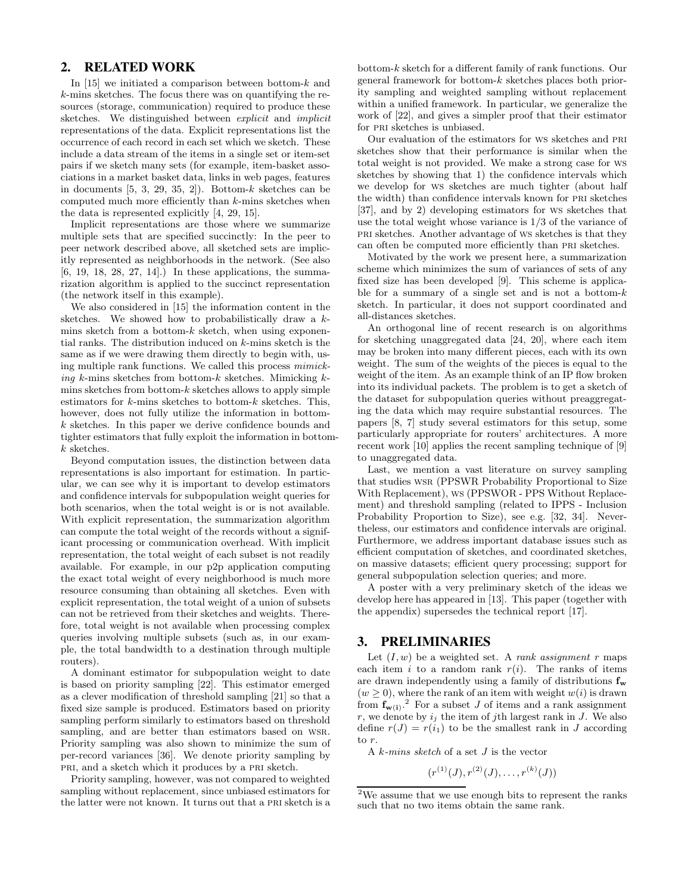## **2. RELATED WORK**

In  $[15]$  we initiated a comparison between bottom- $k$  and k-mins sketches. The focus there was on quantifying the resources (storage, communication) required to produce these sketches. We distinguished between explicit and implicit representations of the data. Explicit representations list the occurrence of each record in each set which we sketch. These include a data stream of the items in a single set or item-set pairs if we sketch many sets (for example, item-basket associations in a market basket data, links in web pages, features in documents  $[5, 3, 29, 35, 2]$ . Bottom-k sketches can be computed much more efficiently than k-mins sketches when the data is represented explicitly [4, 29, 15].

Implicit representations are those where we summarize multiple sets that are specified succinctly: In the peer to peer network described above, all sketched sets are implicitly represented as neighborhoods in the network. (See also [6, 19, 18, 28, 27, 14].) In these applications, the summarization algorithm is applied to the succinct representation (the network itself in this example).

We also considered in [15] the information content in the sketches. We showed how to probabilistically draw a kmins sketch from a bottom- $k$  sketch, when using exponential ranks. The distribution induced on k-mins sketch is the same as if we were drawing them directly to begin with, using multiple rank functions. We called this process mimicking k-mins sketches from bottom- $k$  sketches. Mimicking  $k$ mins sketches from bottom- $k$  sketches allows to apply simple estimators for  $k$ -mins sketches to bottom- $k$  sketches. This, however, does not fully utilize the information in bottomk sketches. In this paper we derive confidence bounds and tighter estimators that fully exploit the information in bottomk sketches.

Beyond computation issues, the distinction between data representations is also important for estimation. In particular, we can see why it is important to develop estimators and confidence intervals for subpopulation weight queries for both scenarios, when the total weight is or is not available. With explicit representation, the summarization algorithm can compute the total weight of the records without a significant processing or communication overhead. With implicit representation, the total weight of each subset is not readily available. For example, in our p2p application computing the exact total weight of every neighborhood is much more resource consuming than obtaining all sketches. Even with explicit representation, the total weight of a union of subsets can not be retrieved from their sketches and weights. Therefore, total weight is not available when processing complex queries involving multiple subsets (such as, in our example, the total bandwidth to a destination through multiple routers).

A dominant estimator for subpopulation weight to date is based on priority sampling [22]. This estimator emerged as a clever modification of threshold sampling [21] so that a fixed size sample is produced. Estimators based on priority sampling perform similarly to estimators based on threshold sampling, and are better than estimators based on WSR. Priority sampling was also shown to minimize the sum of per-record variances [36]. We denote priority sampling by pri, and a sketch which it produces by a pri sketch.

Priority sampling, however, was not compared to weighted sampling without replacement, since unbiased estimators for the latter were not known. It turns out that a PRI sketch is a bottom-k sketch for a different family of rank functions. Our general framework for bottom-k sketches places both priority sampling and weighted sampling without replacement within a unified framework. In particular, we generalize the work of [22], and gives a simpler proof that their estimator for PRI sketches is unbiased.

Our evaluation of the estimators for ws sketches and pri sketches show that their performance is similar when the total weight is not provided. We make a strong case for ws sketches by showing that 1) the confidence intervals which we develop for ws sketches are much tighter (about half the width) than confidence intervals known for PRI sketches [37], and by 2) developing estimators for ws sketches that use the total weight whose variance is 1/3 of the variance of pri sketches. Another advantage of ws sketches is that they can often be computed more efficiently than pri sketches.

Motivated by the work we present here, a summarization scheme which minimizes the sum of variances of sets of any fixed size has been developed [9]. This scheme is applicable for a summary of a single set and is not a bottom- $k$ sketch. In particular, it does not support coordinated and all-distances sketches.

An orthogonal line of recent research is on algorithms for sketching unaggregated data [24, 20], where each item may be broken into many different pieces, each with its own weight. The sum of the weights of the pieces is equal to the weight of the item. As an example think of an IP flow broken into its individual packets. The problem is to get a sketch of the dataset for subpopulation queries without preaggregating the data which may require substantial resources. The papers [8, 7] study several estimators for this setup, some particularly appropriate for routers' architectures. A more recent work [10] applies the recent sampling technique of [9] to unaggregated data.

Last, we mention a vast literature on survey sampling that studies wsr (PPSWR Probability Proportional to Size With Replacement), ws (PPSWOR - PPS Without Replacement) and threshold sampling (related to IPPS - Inclusion Probability Proportion to Size), see e.g. [32, 34]. Nevertheless, our estimators and confidence intervals are original. Furthermore, we address important database issues such as efficient computation of sketches, and coordinated sketches, on massive datasets; efficient query processing; support for general subpopulation selection queries; and more.

A poster with a very preliminary sketch of the ideas we develop here has appeared in [13]. This paper (together with the appendix) supersedes the technical report [17].

#### **3. PRELIMINARIES**

Let  $(I, w)$  be a weighted set. A *rank assignment* r maps each item i to a random rank  $r(i)$ . The ranks of items are drawn independently using a family of distributions  $f_w$  $(w \geq 0)$ , where the rank of an item with weight  $w(i)$  is drawn from  $f_{\mathbf{w}(i)}^2$ . For a subset J of items and a rank assignment r, we denote by  $i_j$  the item of jth largest rank in J. We also define  $r(J) = r(i_1)$  to be the smallest rank in J according to r.

A k-mins sketch of a set J is the vector

$$
(r^{(1)}(J), r^{(2)}(J), \ldots, r^{(k)}(J))
$$

<sup>&</sup>lt;sup>2</sup>We assume that we use enough bits to represent the ranks such that no two items obtain the same rank.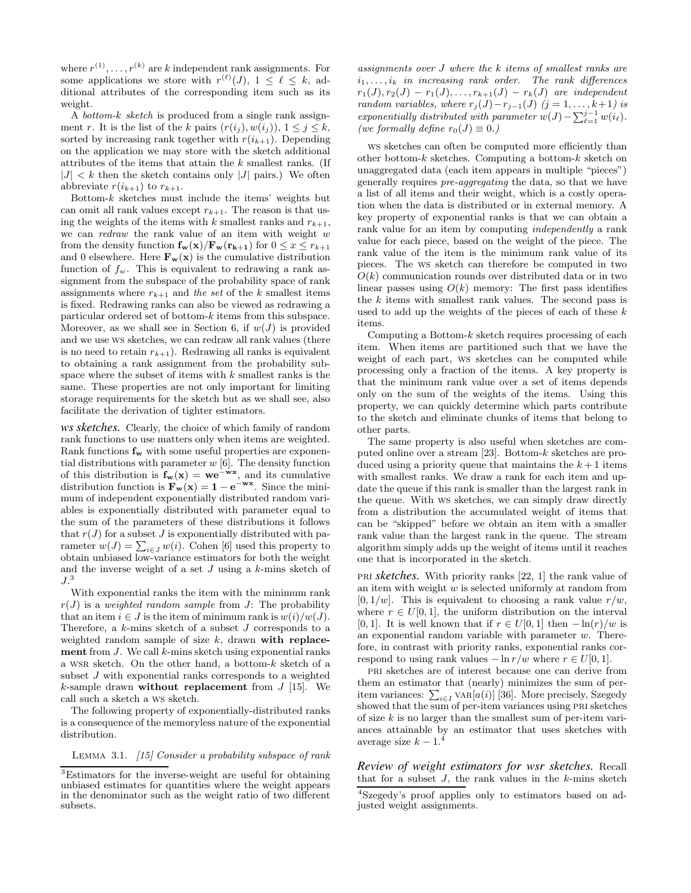where  $r^{(1)}, \ldots, r^{(k)}$  are k independent rank assignments. For some applications we store with  $r^{(\ell)}(J)$ ,  $1 \leq \ell \leq k$ , additional attributes of the corresponding item such as its weight.

A bottom-k sketch is produced from a single rank assignment r. It is the list of the k pairs  $(r(i_i), w(i_j))$ ,  $1 \leq j \leq k$ , sorted by increasing rank together with  $r(i_{k+1})$ . Depending on the application we may store with the sketch additional attributes of the items that attain the  $k$  smallest ranks. (If  $|J| < k$  then the sketch contains only |J| pairs.) We often abbreviate  $r(i_{k+1})$  to  $r_{k+1}$ .

Bottom-k sketches must include the items' weights but can omit all rank values except  $r_{k+1}$ . The reason is that using the weights of the items with k smallest ranks and  $r_{k+1}$ , we can  $redraw$  the rank value of an item with weight  $w$ from the density function  $f_{\mathbf{w}}(\mathbf{x})/F_{\mathbf{w}}(\mathbf{r}_{k+1})$  for  $0 \leq x \leq r_{k+1}$ and 0 elsewhere. Here  $\mathbf{F}_{\mathbf{w}}(\mathbf{x})$  is the cumulative distribution function of  $f_w$ . This is equivalent to redrawing a rank assignment from the subspace of the probability space of rank assignments where  $r_{k+1}$  and the set of the k smallest items is fixed. Redrawing ranks can also be viewed as redrawing a particular ordered set of bottom-k items from this subspace. Moreover, as we shall see in Section 6, if  $w(J)$  is provided and we use ws sketches, we can redraw all rank values (there is no need to retain  $r_{k+1}$ ). Redrawing all ranks is equivalent to obtaining a rank assignment from the probability subspace where the subset of items with  $k$  smallest ranks is the same. These properties are not only important for limiting storage requirements for the sketch but as we shall see, also facilitate the derivation of tighter estimators.

*ws sketches.* Clearly, the choice of which family of random rank functions to use matters only when items are weighted. Rank functions  $f_w$  with some useful properties are exponential distributions with parameter  $w$  [6]. The density function of this distribution is  $\mathbf{f}_{\mathbf{w}}(\mathbf{x}) = \mathbf{w} e^{-\mathbf{w}\mathbf{x}}$ , and its cumulative distribution function is  $\mathbf{F}_{\mathbf{w}}(\mathbf{x}) = \mathbf{1} - \mathbf{e}^{-\mathbf{w}\mathbf{x}}$ . Since the minimum of independent exponentially distributed random variables is exponentially distributed with parameter equal to the sum of the parameters of these distributions it follows that  $r(J)$  for a subset J is exponentially distributed with parameter  $w(J) = \sum_{i \in J} w(i)$ . Cohen [6] used this property to obtain unbiased low-variance estimators for both the weight and the inverse weight of a set  $J$  using a  $k$ -mins sketch of  $J^3$ 

With exponential ranks the item with the minimum rank  $r(J)$  is a weighted random sample from J: The probability that an item  $i \in J$  is the item of minimum rank is  $w(i)/w(J)$ . Therefore, a  $k$ -mins sketch of a subset  $J$  corresponds to a weighted random sample of size  $k$ , drawn with replacement from  $J$ . We call  $k$ -mins sketch using exponential ranks a wsr sketch. On the other hand, a bottom-k sketch of a subset J with exponential ranks corresponds to a weighted k-sample drawn without replacement from  $J$  [15]. We call such a sketch a ws sketch.

The following property of exponentially-distributed ranks is a consequence of the memoryless nature of the exponential distribution.

LEMMA 3.1.  $\left[15\right]$  Consider a probability subspace of rank

assignments over J where the k items of smallest ranks are  $i_1, \ldots, i_k$  in increasing rank order. The rank differences  $r_1(J), r_2(J) - r_1(J), \ldots, r_{k+1}(J) - r_k(J)$  are independent random variables, where  $r_j(J)-r_{j-1}(J)$   $(j = 1, \ldots, k+1)$  is exponentially distributed with parameter  $w(J) - \sum_{\ell=1}^{j-1} w(i_{\ell}).$ (we formally define  $r_0(J) \equiv 0$ .)

ws sketches can often be computed more efficiently than other bottom-k sketches. Computing a bottom-k sketch on unaggregated data (each item appears in multiple "pieces") generally requires pre-aggregating the data, so that we have a list of all items and their weight, which is a costly operation when the data is distributed or in external memory. A key property of exponential ranks is that we can obtain a rank value for an item by computing independently a rank value for each piece, based on the weight of the piece. The rank value of the item is the minimum rank value of its pieces. The ws sketch can therefore be computed in two  $O(k)$  communication rounds over distributed data or in two linear passes using  $O(k)$  memory: The first pass identifies the k items with smallest rank values. The second pass is used to add up the weights of the pieces of each of these  $k$ items.

Computing a Bottom- $k$  sketch requires processing of each item. When items are partitioned such that we have the weight of each part, ws sketches can be computed while processing only a fraction of the items. A key property is that the minimum rank value over a set of items depends only on the sum of the weights of the items. Using this property, we can quickly determine which parts contribute to the sketch and eliminate chunks of items that belong to other parts.

The same property is also useful when sketches are computed online over a stream [23]. Bottom-k sketches are produced using a priority queue that maintains the  $k+1$  items with smallest ranks. We draw a rank for each item and update the queue if this rank is smaller than the largest rank in the queue. With ws sketches, we can simply draw directly from a distribution the accumulated weight of items that can be "skipped" before we obtain an item with a smaller rank value than the largest rank in the queue. The stream algorithm simply adds up the weight of items until it reaches one that is incorporated in the sketch.

pri *sketches.* With priority ranks [22, 1] the rank value of an item with weight  $w$  is selected uniformly at random from  $[0, 1/w]$ . This is equivalent to choosing a rank value  $r/w$ , where  $r \in U[0,1]$ , the uniform distribution on the interval [0, 1]. It is well known that if  $r \in U[0, 1]$  then  $-\ln(r)/w$  is an exponential random variable with parameter  $w$ . Therefore, in contrast with priority ranks, exponential ranks correspond to using rank values  $-\ln r/w$  where  $r \in U[0, 1]$ .

pri sketches are of interest because one can derive from them an estimator that (nearly) minimizes the sum of peritem variances:  $\sum_{i \in I} \text{VAR}[a(i)]$  [36]. More precisely, Szegedy showed that the sum of per-item variances using PRI sketches of size  $k$  is no larger than the smallest sum of per-item variances attainable by an estimator that uses sketches with average size  $k-1$ <sup>4</sup>

*Review of weight estimators for wsr sketches.* Recall that for a subset  $J$ , the rank values in the  $k$ -mins sketch

<sup>3</sup>Estimators for the inverse-weight are useful for obtaining unbiased estimates for quantities where the weight appears in the denominator such as the weight ratio of two different subsets.

<sup>4</sup>Szegedy's proof applies only to estimators based on adjusted weight assignments.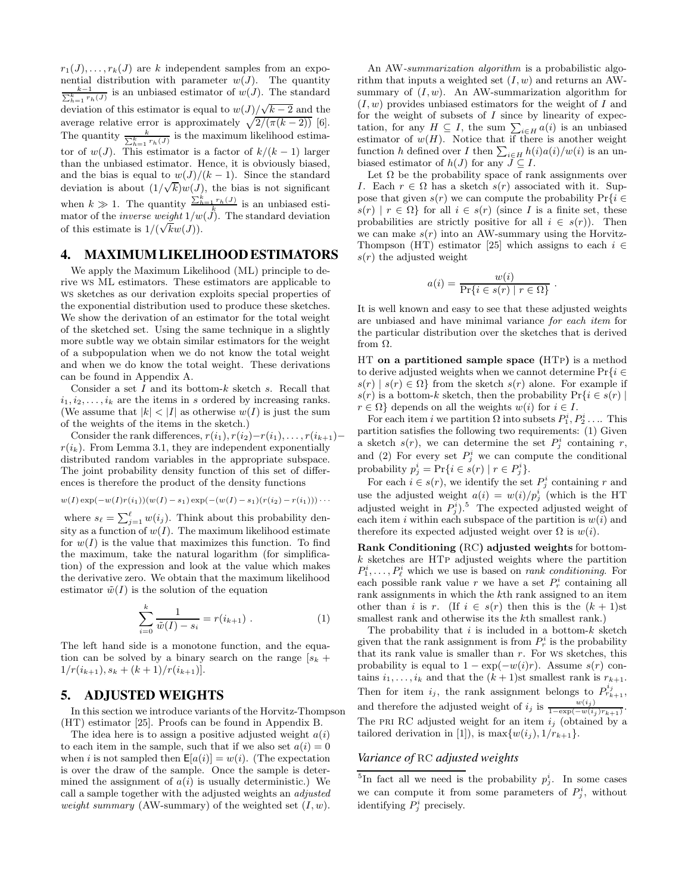$r_1(J), \ldots, r_k(J)$  are k independent samples from an exponential distribution with parameter  $w(J)$ . The quantity  $\frac{k-1}{\sum_{h=1}^{k} r_h(J)}$  is an unbiased estimator of  $w(J)$ . The standard deviation of this estimator is equal to  $w(J)/\sqrt{k-2}$  and the average relative error is approximately  $\sqrt{2/(\pi(k-2))}$  [6]. The quantity  $\frac{k}{\sum_{h=1}^{k} r_h(J)}$  is the maximum likelihood estimator of  $w(J)$ . This estimator is a factor of  $k/(k-1)$  larger than the unbiased estimator. Hence, it is obviously biased, and the bias is equal to  $w(J)/(k-1)$ . Since the standard deviation is about  $(1/\sqrt{k})w(J)$ , the bias is not significant when  $k \gg 1$ . The quantity  $\frac{\sum_{h=1}^{k} r_h(J)}{\sum_{h=1}^{k} r_h(J)}$  is an unbiased estimator of the *inverse weight*  $1/w(J)$ . The standard deviation of this estimate is  $1/(\sqrt{k}w(J))$ .

## **4. MAXIMUMLIKELIHOOD ESTIMATORS**

We apply the Maximum Likelihood (ML) principle to derive ws ML estimators. These estimators are applicable to ws sketches as our derivation exploits special properties of the exponential distribution used to produce these sketches. We show the derivation of an estimator for the total weight of the sketched set. Using the same technique in a slightly more subtle way we obtain similar estimators for the weight of a subpopulation when we do not know the total weight and when we do know the total weight. These derivations can be found in Appendix A.

Consider a set  $I$  and its bottom- $k$  sketch  $s$ . Recall that  $i_1, i_2, \ldots, i_k$  are the items in s ordered by increasing ranks. (We assume that  $|k| < |I|$  as otherwise  $w(I)$  is just the sum of the weights of the items in the sketch.)

Consider the rank differences,  $r(i_1), r(i_2)-r(i_1), \ldots, r(i_{k+1})$  $r(i_k)$ . From Lemma 3.1, they are independent exponentially distributed random variables in the appropriate subspace. The joint probability density function of this set of differences is therefore the product of the density functions

$$
w(I) \exp(-w(I)r(i_1))(w(I) - s_1) \exp(-(w(I) - s_1)(r(i_2) - r(i_1))) \cdots
$$

where  $s_{\ell} = \sum_{j=1}^{\ell} w(i_j)$ . Think about this probability density as a function of  $w(I)$ . The maximum likelihood estimate for  $w(I)$  is the value that maximizes this function. To find the maximum, take the natural logarithm (for simplification) of the expression and look at the value which makes the derivative zero. We obtain that the maximum likelihood estimator  $\tilde{w}(I)$  is the solution of the equation

$$
\sum_{i=0}^{k} \frac{1}{\tilde{w}(I) - s_i} = r(i_{k+1}).
$$
 (1)

The left hand side is a monotone function, and the equation can be solved by a binary search on the range  $[s_k +$  $1/r(i_{k+1}), s_k + (k+1)/r(i_{k+1})$ .

## **5. ADJUSTED WEIGHTS**

In this section we introduce variants of the Horvitz-Thompson (HT) estimator [25]. Proofs can be found in Appendix B.

The idea here is to assign a positive adjusted weight  $a(i)$ to each item in the sample, such that if we also set  $a(i) = 0$ when i is not sampled then  $E[a(i)] = w(i)$ . (The expectation is over the draw of the sample. Once the sample is determined the assignment of  $a(i)$  is usually deterministic.) We call a sample together with the adjusted weights an adjusted weight summary (AW-summary) of the weighted set  $(I, w)$ .

An AW-summarization algorithm is a probabilistic algorithm that inputs a weighted set  $(I, w)$  and returns an AWsummary of  $(I, w)$ . An AW-summarization algorithm for  $(I, w)$  provides unbiased estimators for the weight of I and for the weight of subsets of  $I$  since by linearity of expectation, for any  $H \subseteq I$ , the sum  $\sum_{i \in H} a(i)$  is an unbiased estimator of  $w(H)$ . Notice that if there is another weight function h defined over I then  $\sum_{i\in H} h(i)a(i)/w(i)$  is an unbiased estimator of  $h(J)$  for any  $J \subseteq I$ .

Let  $\Omega$  be the probability space of rank assignments over I. Each  $r \in \Omega$  has a sketch  $s(r)$  associated with it. Suppose that given  $s(r)$  we can compute the probability  $Pr{i \in \mathbb{R} \atop n \in \mathbb{R}}$  $s(r) | r \in \Omega$  for all  $i \in s(r)$  (since I is a finite set, these probabilities are strictly positive for all  $i \in s(r)$ . Then we can make  $s(r)$  into an AW-summary using the Horvitz-Thompson (HT) estimator [25] which assigns to each  $i \in$  $s(r)$  the adjusted weight

$$
a(i) = \frac{w(i)}{\Pr\{i \in s(r) \mid r \in \Omega\}}.
$$

It is well known and easy to see that these adjusted weights are unbiased and have minimal variance for each item for the particular distribution over the sketches that is derived from Ω.

HT on a partitioned sample space (HTp) is a method to derive adjusted weights when we cannot determine  $Pr{i \in \mathbb{R}}$  $s(r) | s(r) \in \Omega$  from the sketch  $s(r)$  alone. For example if  $s(r)$  is a bottom-k sketch, then the probability  $Pr\{i \in s(r) \mid$  $r \in \Omega$  depends on all the weights  $w(i)$  for  $i \in I$ .

For each item i we partition  $\Omega$  into subsets  $P_1^i, P_2^i$ .... This partition satisfies the following two requirements: (1) Given a sketch  $s(r)$ , we can determine the set  $P_j^i$  containing r, and (2) For every set  $P_j^i$  we can compute the conditional probability  $p_j^i = \Pr\{i \in s(r) \mid r \in P_j^i\}.$ 

For each  $i \in s(r)$ , we identify the set  $P_j^i$  containing r and use the adjusted weight  $a(i) = w(i)/p_j^i$  (which is the HT adjusted weight in  $P_j^i$ .<sup>5</sup> The expected adjusted weight of each item i within each subspace of the partition is  $w(i)$  and therefore its expected adjusted weight over  $\Omega$  is  $w(i)$ .

Rank Conditioning (RC) adjusted weights for bottom $k$  sketches are HTP adjusted weights where the partition  $P_1^i, \ldots, P_\ell^i$  which we use is based on *rank conditioning*. For each possible rank value r we have a set  $P_r^i$  containing all rank assignments in which the kth rank assigned to an item other than i is r. (If  $i \in s(r)$  then this is the  $(k+1)$ st smallest rank and otherwise its the kth smallest rank.)

The probability that  $i$  is included in a bottom- $k$  sketch given that the rank assignment is from  $P_r^i$  is the probability that its rank value is smaller than  $r$ . For ws sketches, this probability is equal to  $1 - \exp(-w(i)r)$ . Assume  $s(r)$  contains  $i_1, \ldots, i_k$  and that the  $(k + 1)$ st smallest rank is  $r_{k+1}$ . Then for item  $i_j$ , the rank assignment belongs to  $P_{r_{k+1}}^{i_j}$ , and therefore the adjusted weight of  $i_j$  is  $\frac{w(i_j)}{1-\exp(-w(i_j)r_{k+1})}$ . The PRI RC adjusted weight for an item  $i_j$  (obtained by a tailored derivation in [1]), is  $\max\{w(i_j), 1/r_{k+1}\}.$ 

## *Variance of* RC *adjusted weights*

<sup>5</sup>In fact all we need is the probability  $p_j^i$ . In some cases we can compute it from some parameters of  $P_j^i$ , without identifying  $P_j^i$  precisely.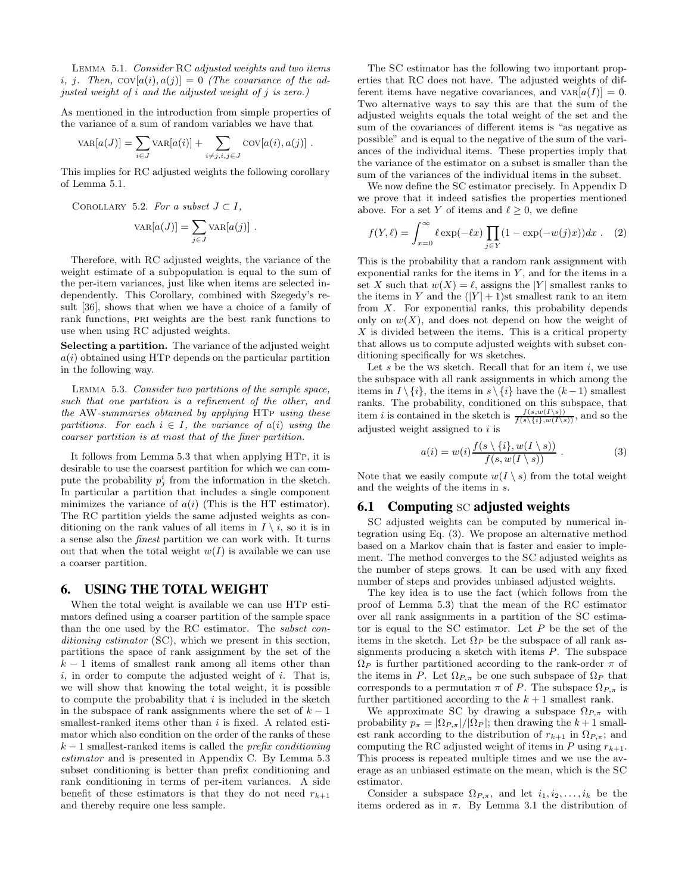Lemma 5.1. Consider RC adjusted weights and two items i, j. Then,  $cov[a(i), a(j)] = 0$  (The covariance of the adjusted weight of i and the adjusted weight of j is zero.)

As mentioned in the introduction from simple properties of the variance of a sum of random variables we have that

$$
\text{VAR}[a(J)] = \sum_{i \in J} \text{VAR}[a(i)] + \sum_{i \neq j, i, j \in J} \text{cov}[a(i), a(j)] .
$$

This implies for RC adjusted weights the following corollary of Lemma 5.1.

COROLLARY 5.2. For a subset  $J \subset I$ ,

$$
VAR[a(J)] = \sum_{j \in J} VAR[a(j)] .
$$

Therefore, with RC adjusted weights, the variance of the weight estimate of a subpopulation is equal to the sum of the per-item variances, just like when items are selected independently. This Corollary, combined with Szegedy's result [36], shows that when we have a choice of a family of rank functions, PRI weights are the best rank functions to use when using RC adjusted weights.

Selecting a partition. The variance of the adjusted weight  $a(i)$  obtained using HTP depends on the particular partition in the following way.

Lemma 5.3. Consider two partitions of the sample space, such that one partition is a refinement of the other, and the AW-summaries obtained by applying HTp using these partitions. For each  $i \in I$ , the variance of  $a(i)$  using the coarser partition is at most that of the finer partition.

It follows from Lemma 5.3 that when applying HTp, it is desirable to use the coarsest partition for which we can compute the probability  $p_j^i$  from the information in the sketch. In particular a partition that includes a single component minimizes the variance of  $a(i)$  (This is the HT estimator). The RC partition yields the same adjusted weights as conditioning on the rank values of all items in  $I \setminus i$ , so it is in a sense also the finest partition we can work with. It turns out that when the total weight  $w(I)$  is available we can use a coarser partition.

#### **6. USING THE TOTAL WEIGHT**

When the total weight is available we can use HTP estimators defined using a coarser partition of the sample space than the one used by the RC estimator. The subset conditioning estimator (SC), which we present in this section, partitions the space of rank assignment by the set of the  $k-1$  items of smallest rank among all items other than  $i$ , in order to compute the adjusted weight of  $i$ . That is, we will show that knowing the total weight, it is possible to compute the probability that  $i$  is included in the sketch in the subspace of rank assignments where the set of  $k-1$ smallest-ranked items other than  $i$  is fixed. A related estimator which also condition on the order of the ranks of these  $k-1$  smallest-ranked items is called the *prefix conditioning* estimator and is presented in Appendix C. By Lemma 5.3 subset conditioning is better than prefix conditioning and rank conditioning in terms of per-item variances. A side benefit of these estimators is that they do not need  $r_{k+1}$ and thereby require one less sample.

The SC estimator has the following two important properties that RC does not have. The adjusted weights of different items have negative covariances, and  $VAR[a(I)] = 0$ . Two alternative ways to say this are that the sum of the adjusted weights equals the total weight of the set and the sum of the covariances of different items is "as negative as possible" and is equal to the negative of the sum of the variances of the individual items. These properties imply that the variance of the estimator on a subset is smaller than the sum of the variances of the individual items in the subset.

We now define the SC estimator precisely. In Appendix D we prove that it indeed satisfies the properties mentioned above. For a set Y of items and  $\ell \geq 0$ , we define

$$
f(Y,\ell) = \int_{x=0}^{\infty} \ell \exp(-\ell x) \prod_{j \in Y} (1 - \exp(-w(j)x)) dx
$$
 (2)

This is the probability that a random rank assignment with exponential ranks for the items in  $Y$ , and for the items in a set X such that  $w(X) = \ell$ , assigns the |Y| smallest ranks to the items in Y and the  $(|Y|+1)$ st smallest rank to an item from  $X$ . For exponential ranks, this probability depends only on  $w(X)$ , and does not depend on how the weight of  $X$  is divided between the items. This is a critical property that allows us to compute adjusted weights with subset conditioning specifically for ws sketches.

Let  $s$  be the WS sketch. Recall that for an item  $i$ , we use the subspace with all rank assignments in which among the items in  $I \setminus \{i\}$ , the items in  $s \setminus \{i\}$  have the  $(k-1)$  smallest ranks. The probability, conditioned on this subspace, that item *i* is contained in the sketch is  $\frac{f(s,w(I\setminus s))}{f(s\setminus\{i\},w(I\setminus s))}$ , and so the adjusted weight assigned to  $i$  is

$$
a(i) = w(i) \frac{f(s \setminus \{i\}, w(I \setminus s))}{f(s, w(I \setminus s))} . \tag{3}
$$

Note that we easily compute  $w(I \setminus s)$  from the total weight and the weights of the items in s.

## **6.1 Computing** SC **adjusted weights**

SC adjusted weights can be computed by numerical integration using Eq. (3). We propose an alternative method based on a Markov chain that is faster and easier to implement. The method converges to the SC adjusted weights as the number of steps grows. It can be used with any fixed number of steps and provides unbiased adjusted weights.

The key idea is to use the fact (which follows from the proof of Lemma 5.3) that the mean of the RC estimator over all rank assignments in a partition of the SC estimator is equal to the SC estimator. Let P be the set of the items in the sketch. Let  $\Omega_P$  be the subspace of all rank assignments producing a sketch with items  $P$ . The subspace  $\Omega_P$  is further partitioned according to the rank-order  $\pi$  of the items in P. Let  $\Omega_{P,\pi}$  be one such subspace of  $\Omega_P$  that corresponds to a permutation  $\pi$  of P. The subspace  $\Omega_{P,\pi}$  is further partitioned according to the  $k+1$  smallest rank.

We approximate SC by drawing a subspace  $\Omega_{P,\pi}$  with probability  $p_{\pi} = |\Omega_{P,\pi}|/|\Omega_P|$ ; then drawing the  $k+1$  smallest rank according to the distribution of  $r_{k+1}$  in  $\Omega_{P,\pi}$ ; and computing the RC adjusted weight of items in P using  $r_{k+1}$ . This process is repeated multiple times and we use the average as an unbiased estimate on the mean, which is the SC estimator.

Consider a subspace  $\Omega_{P,\pi}$ , and let  $i_1, i_2, \ldots, i_k$  be the items ordered as in  $\pi$ . By Lemma 3.1 the distribution of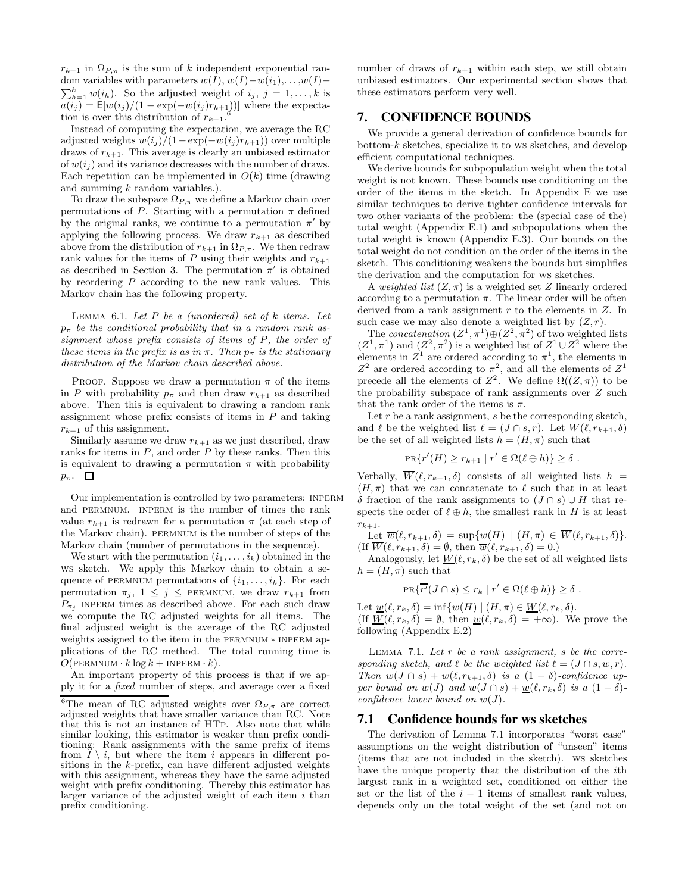$r_{k+1}$  in  $\Omega_{P,\pi}$  is the sum of k independent exponential ran-<br>dom variables with parameters  $w(I), w(I) - w(i_1), \ldots, w(I)$ dom variables with parameters  $w(I)$ ,  $w(I) - w(i_1), \ldots, w(I) - \sum_{h=1}^{k} w(i_h)$ . So the adjusted weight of  $i_j$ ,  $j = 1, \ldots, k$  is  $\overline{a(i_j)} = \mathsf{E}[w(i_j)/(1 - \exp(-w(i_j)r_{k+1}))]$  where the expecta-<br>tion is over this distribution of  $r_{k+1}$ tion is over this distribution of  $r_{k+1}$ .

Instead of computing the expectation, we average the RC adjusted weights  $w(i_j)/(1 - \exp(-w(i_j) r_{k+1}))$  over multiple draws of  $r_{k+1}$ . This average is clearly an unbiased estimator of  $w(i_j)$  and its variance decreases with the number of draws. Each repetition can be implemented in  $O(k)$  time (drawing and summing  $k$  random variables.).

To draw the subspace  $\Omega_{P,\pi}$  we define a Markov chain over permutations of P. Starting with a permutation  $\pi$  defined by the original ranks, we continue to a permutation  $\pi'$  by applying the following process. We draw  $r_{k+1}$  as described above from the distribution of  $r_{k+1}$  in  $\Omega_{P,\pi}$ . We then redraw rank values for the items of P using their weights and  $r_{k+1}$ as described in Section 3. The permutation  $\pi'$  is obtained by reordering  $P$  according to the new rank values. This Markov chain has the following property.

LEMMA 6.1. Let  $P$  be a (unordered) set of  $k$  items. Let  $p_{\pi}$  be the conditional probability that in a random rank assignment whose prefix consists of items of P, the order of these items in the prefix is as in  $\pi$ . Then  $p_{\pi}$  is the stationary distribution of the Markov chain described above.

PROOF. Suppose we draw a permutation  $\pi$  of the items in P with probability  $p_{\pi}$  and then draw  $r_{k+1}$  as described above. Then this is equivalent to drawing a random rank assignment whose prefix consists of items in  $P$  and taking  $r_{k+1}$  of this assignment.

Similarly assume we draw  $r_{k+1}$  as we just described, draw ranks for items in  $P$ , and order  $P$  by these ranks. Then this is equivalent to drawing a permutation  $\pi$  with probability  $p_{\pi}$ .  $\square$ 

Our implementation is controlled by two parameters: INPERM and PERMNUM. INPERM is the number of times the rank value  $r_{k+1}$  is redrawn for a permutation  $\pi$  (at each step of the Markov chain). permnum is the number of steps of the Markov chain (number of permutations in the sequence).

We start with the permutation  $(i_1, \ldots, i_k)$  obtained in the ws sketch. We apply this Markov chain to obtain a sequence of PERMNUM permutations of  $\{i_1, \ldots, i_k\}$ . For each permutation  $\pi_j$ ,  $1 \leq j \leq$  PERMNUM, we draw  $r_{k+1}$  from  $P_{\pi_j}$  INPERM times as described above. For each such draw we compute the RC adjusted weights for all items. The final adjusted weight is the average of the RC adjusted weights assigned to the item in the PERMNUM  $*$  INPERM applications of the RC method. The total running time is  $O(\text{PERMNUM} \cdot k \log k + \text{INPERM} \cdot k).$ 

An important property of this process is that if we apply it for a fixed number of steps, and average over a fixed number of draws of  $r_{k+1}$  within each step, we still obtain unbiased estimators. Our experimental section shows that these estimators perform very well.

## **7. CONFIDENCE BOUNDS**

We provide a general derivation of confidence bounds for bottom-k sketches, specialize it to ws sketches, and develop efficient computational techniques.

We derive bounds for subpopulation weight when the total weight is not known. These bounds use conditioning on the order of the items in the sketch. In Appendix E we use similar techniques to derive tighter confidence intervals for two other variants of the problem: the (special case of the) total weight (Appendix E.1) and subpopulations when the total weight is known (Appendix E.3). Our bounds on the total weight do not condition on the order of the items in the sketch. This conditioning weakens the bounds but simplifies the derivation and the computation for ws sketches.

A weighted list  $(Z, \pi)$  is a weighted set Z linearly ordered according to a permutation  $\pi$ . The linear order will be often derived from a rank assignment  $r$  to the elements in  $Z$ . In such case we may also denote a weighted list by  $(Z, r)$ .

The concatenation  $(Z^1, \pi^1) \oplus (Z^2, \pi^2)$  of two weighted lists  $(Z^1, \pi^1)$  and  $(Z^2, \pi^2)$  is a weighted list of  $Z^1 \cup Z^2$  where the elements in  $Z^1$  are ordered according to  $\pi^1$ , the elements in  $Z^2$  are ordered according to  $\pi^2$ , and all the elements of  $Z^1$ precede all the elements of  $Z^2$ . We define  $\Omega((Z,\pi))$  to be the probability subspace of rank assignments over Z such that the rank order of the items is  $\pi$ .

Let  $r$  be a rank assignment,  $s$  be the corresponding sketch, and  $\ell$  be the weighted list  $\ell = (J \cap s, r)$ . Let  $\overline{W}(\ell, r_{k+1}, \delta)$ be the set of all weighted lists  $h = (H, \pi)$  such that

$$
\Pr\{r'(H) \ge r_{k+1} \mid r' \in \Omega(\ell \oplus h)\} \ge \delta.
$$

Verbally,  $\overline{W}(\ell, r_{k+1}, \delta)$  consists of all weighted lists  $h =$  $(H, \pi)$  that we can concatenate to  $\ell$  such that in at least δ fraction of the rank assignments to (J ∩ s) ∪ H that respects the order of  $\ell \oplus h$ , the smallest rank in H is at least  $r_{k+1}$ .

Let  $\overline{w}(\ell, r_{k+1}, \delta) = \sup \{w(H) \mid (H, \pi) \in \overline{W}(\ell, r_{k+1}, \delta)\}.$ (If  $\overline{W}(\ell, r_{k+1}, \delta) = \emptyset$ , then  $\overline{w}(\ell, r_{k+1}, \delta) = 0$ .)

Analogously, let  $W(\ell, r_k, \delta)$  be the set of all weighted lists  $h = (H, \pi)$  such that

$$
\mathrm{PR}\{\overline{r'}(J \cap s) \leq r_k \mid r' \in \Omega(\ell \oplus h)\} \geq \delta.
$$

Let  $w(\ell, r_k, \delta) = \inf \{ w(H) | (H, \pi) \in \underline{W}(\ell, r_k, \delta). \}$ (If  $\underline{W}(\ell, r_k, \delta) = \emptyset$ , then  $\underline{w}(\ell, r_k, \delta) = +\infty$ ). We prove the following (Appendix E.2)

LEMMA 7.1. Let  $r$  be a rank assignment,  $s$  be the corresponding sketch, and  $\ell$  be the weighted list  $\ell = (J \cap s, w, r)$ . Then  $w(J \cap s) + \overline{w}(\ell, r_{k+1}, \delta)$  is a  $(1 - \delta)$ -confidence upper bound on  $w(J)$  and  $w(J \cap s) + w(\ell, r_k, \delta)$  is a  $(1 - \delta)$ confidence lower bound on  $w(J)$ .

#### **7.1 Confidence bounds for ws sketches**

The derivation of Lemma 7.1 incorporates "worst case" assumptions on the weight distribution of "unseen" items (items that are not included in the sketch). ws sketches have the unique property that the distribution of the ith largest rank in a weighted set, conditioned on either the set or the list of the  $i - 1$  items of smallest rank values, depends only on the total weight of the set (and not on

<sup>&</sup>lt;sup>6</sup>The mean of RC adjusted weights over  $\Omega_{P,\pi}$  are correct adjusted weights that have smaller variance than RC. Note that this is not an instance of HTp. Also note that while similar looking, this estimator is weaker than prefix conditioning: Rank assignments with the same prefix of items from  $I \setminus i$ , but where the item i appears in different positions in the k-prefix, can have different adjusted weights with this assignment, whereas they have the same adjusted weight with prefix conditioning. Thereby this estimator has larger variance of the adjusted weight of each item  $i$  than prefix conditioning.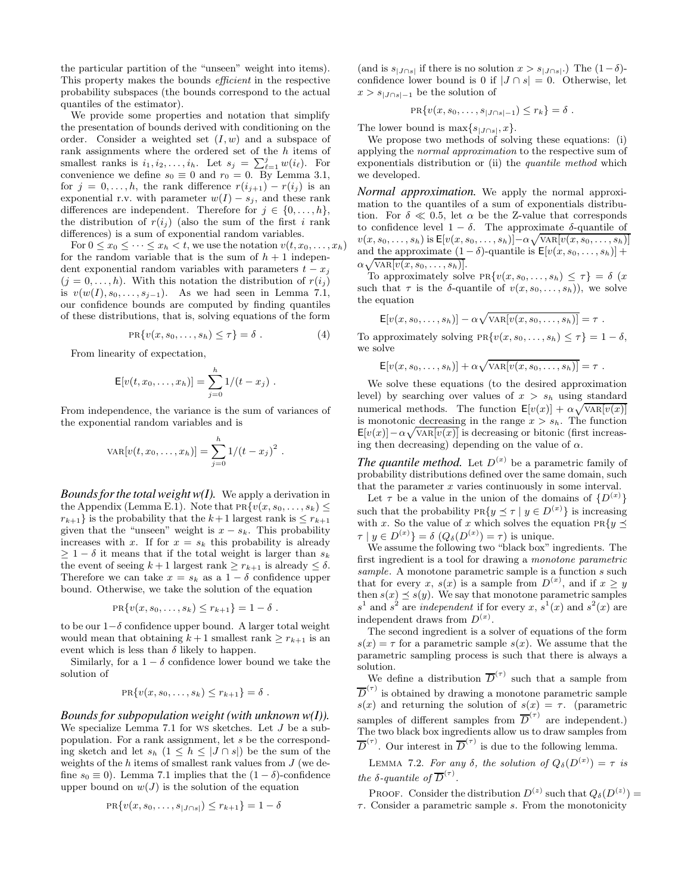the particular partition of the "unseen" weight into items). This property makes the bounds efficient in the respective probability subspaces (the bounds correspond to the actual quantiles of the estimator).

We provide some properties and notation that simplify the presentation of bounds derived with conditioning on the order. Consider a weighted set  $(I, w)$  and a subspace of rank assignments where the ordered set of the h items of smallest ranks is  $i_1, i_2, \ldots, i_h$ . Let  $s_j = \sum_{\ell=1}^j w(i_\ell)$ . For convenience we define  $s_0 \equiv 0$  and  $r_0 = 0$ . By Lemma 3.1, for  $j = 0, \ldots, h$ , the rank difference  $r(i_{j+1}) - r(i_j)$  is an exponential r.v. with parameter  $w(I) - s_j$ , and these rank differences are independent. Therefore for  $j \in \{0, \ldots, h\},\$ the distribution of  $r(i_j)$  (also the sum of the first i rank differences) is a sum of exponential random variables.

For  $0 \leq x_0 \leq \cdots \leq x_h < t$ , we use the notation  $v(t, x_0, \ldots, x_h)$ for the random variable that is the sum of  $h + 1$  independent exponential random variables with parameters  $t - x_j$  $(j = 0, \ldots, h)$ . With this notation the distribution of  $r(i_j)$ is  $v(w(I), s_0, \ldots, s_{j-1})$ . As we had seen in Lemma 7.1, our confidence bounds are computed by finding quantiles of these distributions, that is, solving equations of the form

$$
PR\{v(x, s_0, \dots, s_h) \leq \tau\} = \delta.
$$
 (4)

From linearity of expectation,

$$
\mathsf{E}[v(t, x_0, \ldots, x_h)] = \sum_{j=0}^h 1/(t - x_j) .
$$

From independence, the variance is the sum of variances of the exponential random variables and is

VAR[
$$
v(t, x_0,..., x_h)
$$
] =  $\sum_{j=0}^h 1/(t - x_j)^2$ .

*Boundsforthe totalweightw(I).* We apply a derivation in the Appendix (Lemma E.1). Note that  $PR\{v(x, s_0, \ldots, s_k)\leq$  $r_{k+1}$  is the probability that the  $k+1$  largest rank is  $\leq r_{k+1}$ given that the "unseen" weight is  $x - s_k$ . This probability increases with x. If for  $x = s_k$  this probability is already  $> 1 - \delta$  it means that if the total weight is larger than  $s_k$ the event of seeing  $k + 1$  largest rank  $\geq r_{k+1}$  is already  $\leq \delta$ . Therefore we can take  $x = s_k$  as a  $1 - \delta$  confidence upper bound. Otherwise, we take the solution of the equation

$$
PR{v(x, s_0, ..., s_k) \le r_{k+1}} = 1 - \delta
$$
.

to be our 1−δ confidence upper bound. A larger total weight would mean that obtaining  $k+1$  smallest rank  $\geq r_{k+1}$  is an event which is less than  $\delta$  likely to happen.

Similarly, for a  $1 - \delta$  confidence lower bound we take the solution of

$$
PR{v(x, s_0, \ldots, s_k) \leq r_{k+1}} = \delta.
$$

*Bounds for subpopulation weight (with unknown w(I)).* We specialize Lemma 7.1 for ws sketches. Let  $J$  be a subpopulation. For a rank assignment, let s be the corresponding sketch and let  $s_h$   $(1 \leq h \leq |J \cap s|)$  be the sum of the weights of the  $h$  items of smallest rank values from  $J$  (we define  $s_0 \equiv 0$ ). Lemma 7.1 implies that the  $(1 - \delta)$ -confidence upper bound on  $w(J)$  is the solution of the equation

$$
PR\{v(x, s_0, \dots, s_{|J \cap s|}) \le r_{k+1}\} = 1 - \delta
$$

(and is  $s_{|J \cap s|}$  if there is no solution  $x > s_{|J \cap s|}$ .) The  $(1 - \delta)$ confidence lower bound is 0 if  $|J \cap s| = 0$ . Otherwise, let  $x > s_{|J \cap s|-1}$  be the solution of

$$
PR{v(x, s_0, \ldots, s_{|J \cap s|-1}) \leq r_k} = \delta.
$$

The lower bound is  $\max\{s_{|J\cap s|}, x\}.$ 

We propose two methods of solving these equations: (i) applying the normal approximation to the respective sum of exponentials distribution or (ii) the quantile method which we developed.

*Normal approximation.* We apply the normal approximation to the quantiles of a sum of exponentials distribution. For  $\delta \ll 0.5$ , let  $\alpha$  be the Z-value that corresponds to confidence level  $1 - \delta$ . The approximate  $\delta$ -quantile of  $v(x, s_0, \ldots, s_h)$  is  $\mathsf{E}[v(x, s_0, \ldots, s_h)] - \alpha \sqrt{\text{VAR}[v(x, s_0, \ldots, s_h)]}$ and the approximate  $(1 - \delta)$ -quantile is  $E[v(x, s_0, \ldots, s_h)] +$  $\alpha\sqrt{\text{VAR}[v(x, s_0, \ldots, s_h)]}.$ 

To approximately solve  $PR\{v(x, s_0, \ldots, s_h) \leq \tau\} = \delta(x)$ such that  $\tau$  is the  $\delta$ -quantile of  $v(x, s_0, \ldots, s_h)$ , we solve the equation

$$
\mathsf{E}[v(x, s_0, \ldots, s_h)] - \alpha \sqrt{\text{VAR}[v(x, s_0, \ldots, s_h)]} = \tau.
$$

To approximately solving  $PR\{v(x, s_0, \ldots, s_h) \leq \tau\} = 1 - \delta$ , we solve

 $\mathsf{E}[v(x, s_0, \ldots, s_h)] + \alpha \sqrt{\text{VAR}[v(x, s_0, \ldots, s_h)]} = \tau$ .

We solve these equations (to the desired approximation level) by searching over values of  $x > s_h$  using standard numerical methods. The function  $\mathsf{E}[v(x)] + \alpha \sqrt{\text{VAR}[v(x)]}$ is monotonic decreasing in the range  $x > s_h$ . The function  $\mathsf{E}[v(x)] - \alpha \sqrt{\text{VAR}[v(x)]}$  is decreasing or bitonic (first increasing then decreasing) depending on the value of  $\alpha$ .

*The quantile method.* Let  $D^{(x)}$  be a parametric family of probability distributions defined over the same domain, such that the parameter  $x$  varies continuously in some interval.

Let  $\tau$  be a value in the union of the domains of  $\{D^{(x)}\}$ such that the probability  $PR\{y \leq \tau \mid y \in D^{(x)}\}$  is increasing with x. So the value of x which solves the equation  $PR\{y \leq \}$  $\tau \mid y \in D^{(x)}\} = \delta \left(Q_{\delta}(D^{(x)}) = \tau\right)$  is unique.

We assume the following two "black box" ingredients. The first ingredient is a tool for drawing a monotone parametric sample. A monotone parametric sample is a function s such that for every x,  $s(x)$  is a sample from  $D^{(x)}$ , and if  $x \geq y$ then  $s(x) \preceq s(y)$ . We say that monotone parametric samples  $s<sup>1</sup>$  and  $s<sup>2</sup>$  are *independent* if for every x,  $s<sup>1</sup>(x)$  and  $s<sup>2</sup>(x)$  are independent draws from  $D^{(x)}$ .

The second ingredient is a solver of equations of the form  $s(x) = \tau$  for a parametric sample  $s(x)$ . We assume that the parametric sampling process is such that there is always a solution.

We define a distribution  $\overline{D}^{(\tau)}$  such that a sample from  $\overline{D}^{(\tau)}$  is obtained by drawing a monotone parametric sample s(x) and returning the solution of  $s(x) = \tau$ . (parametric samples of different samples from  $\overline{D}^{(\tau)}$  are independent.) The two black box ingredients allow us to draw samples from  $\overline{D}^{(\tau)}$ . Our interest in  $\overline{D}^{(\tau)}$  is due to the following lemma.

LEMMA 7.2. For any  $\delta$ , the solution of  $Q_{\delta}(D^{(x)}) = \tau$  is the  $\delta$ -quantile of  $\overline{D}^{(\tau)}$ .

PROOF. Consider the distribution  $D^{(z)}$  such that  $Q_{\delta}(D^{(z)}) =$  $\tau$ . Consider a parametric sample s. From the monotonicity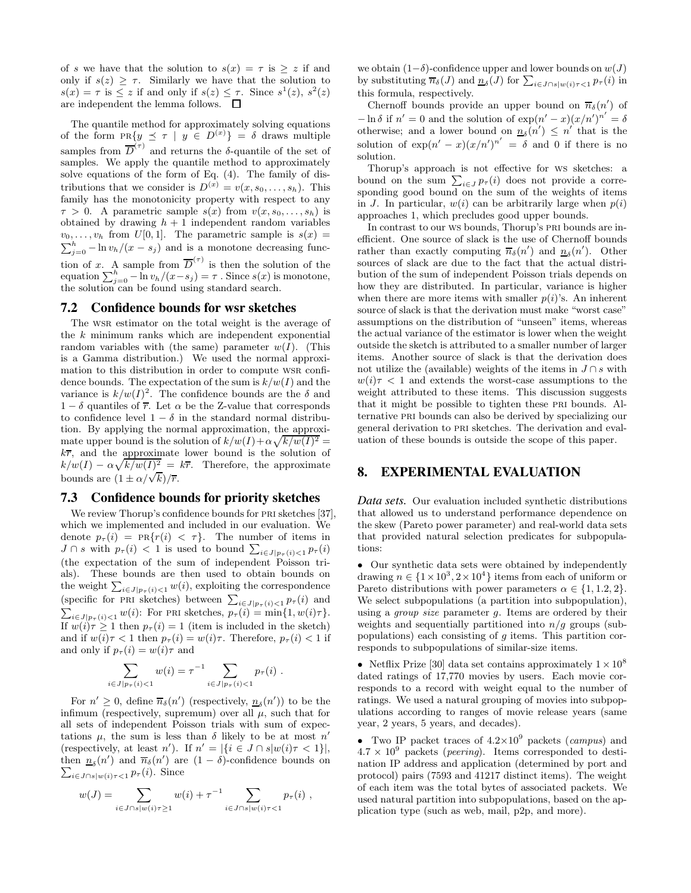of s we have that the solution to  $s(x) = \tau$  is  $\geq z$  if and only if  $s(z) \geq \tau$ . Similarly we have that the solution to  $s(x) = \tau$  is  $\leq z$  if and only if  $s(z) \leq \tau$ . Since  $s^1(z)$ ,  $s^2(z)$ are independent the lemma follows.  $\Box$ 

The quantile method for approximately solving equations of the form  $PR\{y \leq \tau \mid y \in D^{(x)}\} = \delta$  draws multiple samples from  $\overline{D}^{(\tau)}$  and returns the  $\delta$ -quantile of the set of samples. We apply the quantile method to approximately solve equations of the form of Eq. (4). The family of distributions that we consider is  $D^{(x)} = v(x, s_0, \ldots, s_h)$ . This family has the monotonicity property with respect to any  $\tau > 0$ . A parametric sample  $s(x)$  from  $v(x, s_0, \ldots, s_h)$  is obtained by drawing  $h + 1$  independent random variables  $v_0, \ldots, v_h$  from  $U[0, 1]$ . The parametric sample is  $s(x) =$  $\sum_{j=0}^{h} -\ln v_h/(x-s_j)$  and is a monotone decreasing function of x. A sample from  $\overline{D}^{(\tau)}$  is then the solution of the equation  $\sum_{j=0}^{h} - \ln v_h/(x-s_j) = \tau$ . Since  $s(x)$  is monotone, the solution can be found using standard search.

#### **7.2 Confidence bounds for wsr sketches**

The WSR estimator on the total weight is the average of the  $k$  minimum ranks which are independent exponential random variables with (the same) parameter  $w(I)$ . (This is a Gamma distribution.) We used the normal approximation to this distribution in order to compute wsr confidence bounds. The expectation of the sum is  $k/w(I)$  and the variance is  $k/w(I)^2$ . The confidence bounds are the  $\delta$  and  $1 - \delta$  quantiles of  $\overline{r}$ . Let  $\alpha$  be the Z-value that corresponds to confidence level  $1 - \delta$  in the standard normal distribution. By applying the normal approximation, the approximate upper bound is the solution of  $k/w(I) + \alpha \sqrt{k/w(I)^2} =$  $k\overline{r}$ , and the approximate lower bound is the solution of  $k/w(I) - \alpha \sqrt{k/w(I)^2} = k\overline{r}$ . Therefore, the approximate bounds are  $(1 \pm \alpha/\sqrt{k})/\overline{r}$ .

#### **7.3 Confidence bounds for priority sketches**

We review Thorup's confidence bounds for PRI sketches [37], which we implemented and included in our evaluation. We denote  $p_{\tau}(i) = PR{r(i) < \tau}.$  The number of items in  $J \cap s$  with  $p_{\tau}(i) < 1$  is used to bound  $\sum_{i \in J} |p_{\tau}(i)| < 1$ (the expectation of the sum of independent Poisson trials). These bounds are then used to obtain bounds on the weight  $\sum_{i \in J|p_{\tau}(i) < 1} w(i)$ , exploiting the correspondence (specific for PRI sketches) between  $\sum_{i\in J|p_{\tau}(i)<1} p_{\tau}(i)$  and  $\sum_{i\in J|p_{\tau}(i)<1} w(i)$ : For PRI sketches,  $p_{\tau}(i) = \min\{1, w(i)\tau\}.$ If  $w(i)\tau \geq 1$  then  $p_{\tau}(i) = 1$  (item is included in the sketch) and if  $w(i)\tau < 1$  then  $p_{\tau}(i) = w(i)\tau$ . Therefore,  $p_{\tau}(i) < 1$  if and only if  $p_{\tau}(i) = w(i)\tau$  and

$$
\sum_{i \in J|p_{\tau}(i) < 1} w(i) = \tau^{-1} \sum_{i \in J|p_{\tau}(i) < 1} p_{\tau}(i) \; .
$$

For  $n' \geq 0$ , define  $\overline{n}_{\delta}(n')$  (respectively,  $\underline{n}_{\delta}(n')$ ) to be the infimum (respectively, supremum) over all  $\mu$ , such that for all sets of independent Poisson trials with sum of expectations  $\mu$ , the sum is less than  $\delta$  likely to be at most  $n'$ (respectively, at least n'). If  $n' = |\{i \in J \cap s | w(i)\tau < 1\}|$ , then  $\underline{n}_{\delta}(n')$  and  $\overline{n}_{\delta}(n')$  are  $(1 - \delta)$ -confidence bounds on  $\sum_{i \in J \cap s|w(i)\tau < 1} p_\tau(i)$ . Since

$$
w(J) = \sum_{i \in J \cap s | w(i)\tau \ge 1} w(i) + \tau^{-1} \sum_{i \in J \cap s | w(i)\tau < 1} p_{\tau}(i) ,
$$

we obtain  $(1-\delta)$ -confidence upper and lower bounds on  $w(J)$ by substituting  $\overline{n}_{\delta}(J)$  and  $\underline{n}_{\delta}(J)$  for  $\sum_{i\in J\cap s|w(i)\tau\leq 1} p_{\tau}(i)$  in this formula, respectively.

Chernoff bounds provide an upper bound on  $\overline{n}_{\delta}(n')$  of  $-\ln \delta$  if  $n' = 0$  and the solution of  $\exp((n' - x)(x/n'))^{n'} = \delta$ otherwise; and a lower bound on  $\underline{n}_{\delta}(n') \leq n'$  that is the solution of  $\exp(n'-x)(x/n')^{n'} = \delta$  and 0 if there is no solution.

Thorup's approach is not effective for ws sketches: a bound on the sum  $\sum_{i \in J} p_{\tau}(i)$  does not provide a corresponding good bound on the sum of the weights of items in J. In particular,  $w(i)$  can be arbitrarily large when  $p(i)$ approaches 1, which precludes good upper bounds.

In contrast to our ws bounds, Thorup's pri bounds are inefficient. One source of slack is the use of Chernoff bounds rather than exactly computing  $\overline{n}_{\delta}(n')$  and  $\underline{n}_{\delta}(n')$ . Other sources of slack are due to the fact that the actual distribution of the sum of independent Poisson trials depends on how they are distributed. In particular, variance is higher when there are more items with smaller  $p(i)$ 's. An inherent source of slack is that the derivation must make "worst case" assumptions on the distribution of "unseen" items, whereas the actual variance of the estimator is lower when the weight outside the sketch is attributed to a smaller number of larger items. Another source of slack is that the derivation does not utilize the (available) weights of the items in  $J \cap s$  with  $w(i)\tau$  < 1 and extends the worst-case assumptions to the weight attributed to these items. This discussion suggests that it might be possible to tighten these pri bounds. Alternative pri bounds can also be derived by specializing our general derivation to pri sketches. The derivation and evaluation of these bounds is outside the scope of this paper.

### **8. EXPERIMENTAL EVALUATION**

*Data sets.* Our evaluation included synthetic distributions that allowed us to understand performance dependence on the skew (Pareto power parameter) and real-world data sets that provided natural selection predicates for subpopulations:

• Our synthetic data sets were obtained by independently drawing  $n \in \{1 \times 10^3, 2 \times 10^4\}$  items from each of uniform or Pareto distributions with power parameters  $\alpha \in \{1, 1.2, 2\}.$ We select subpopulations (a partition into subpopulation), using a group size parameter g. Items are ordered by their weights and sequentially partitioned into  $n/g$  groups (subpopulations) each consisting of g items. This partition corresponds to subpopulations of similar-size items.

• Netflix Prize [30] data set contains approximately  $1 \times 10^8$ dated ratings of 17,770 movies by users. Each movie corresponds to a record with weight equal to the number of ratings. We used a natural grouping of movies into subpopulations according to ranges of movie release years (same year, 2 years, 5 years, and decades).

• Two IP packet traces of  $4.2 \times 10^9$  packets (campus) and  $4.7 \times 10^9$  packets (*peering*). Items corresponded to destination IP address and application (determined by port and protocol) pairs (7593 and 41217 distinct items). The weight of each item was the total bytes of associated packets. We used natural partition into subpopulations, based on the application type (such as web, mail, p2p, and more).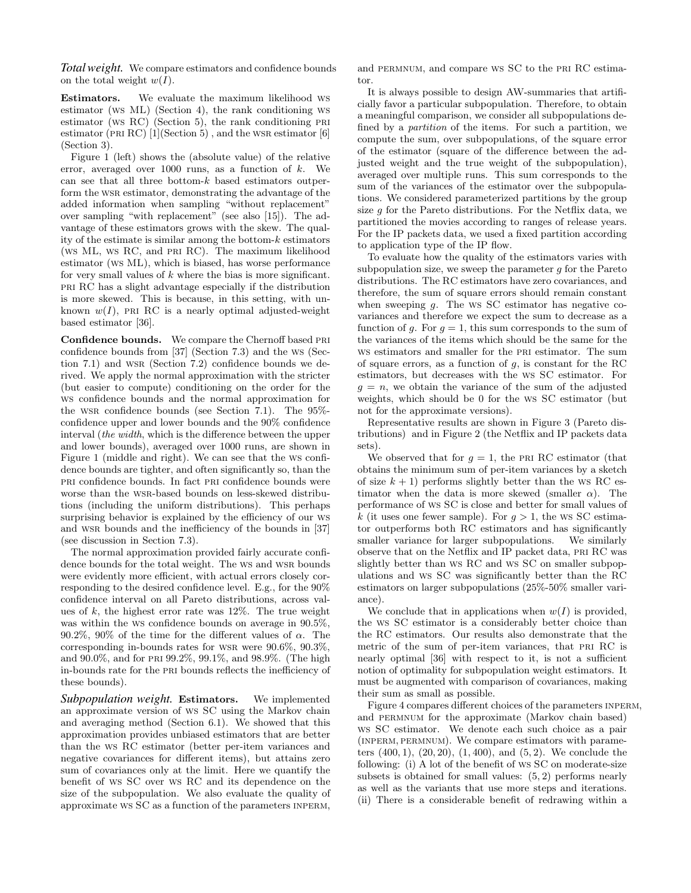*Totalweight.* We compare estimators and confidence bounds on the total weight  $w(I)$ .

Estimators. We evaluate the maximum likelihood ws estimator (ws ML) (Section 4), the rank conditioning ws estimator (ws RC) (Section 5), the rank conditioning PRI estimator (PRI RC)  $[1]$ (Section 5), and the WSR estimator [6] (Section 3).

Figure 1 (left) shows the (absolute value) of the relative error, averaged over  $1000$  runs, as a function of k. We can see that all three bottom- $k$  based estimators outperform the wsr estimator, demonstrating the advantage of the added information when sampling "without replacement" over sampling "with replacement" (see also [15]). The advantage of these estimators grows with the skew. The quality of the estimate is similar among the bottom- $k$  estimators (ws ML, ws RC, and pri RC). The maximum likelihood estimator (ws ML), which is biased, has worse performance for very small values of  $k$  where the bias is more significant. pri RC has a slight advantage especially if the distribution is more skewed. This is because, in this setting, with unknown  $w(I)$ , pri RC is a nearly optimal adjusted-weight based estimator [36].

Confidence bounds. We compare the Chernoff based pri confidence bounds from [37] (Section 7.3) and the ws (Section 7.1) and wsr (Section 7.2) confidence bounds we derived. We apply the normal approximation with the stricter (but easier to compute) conditioning on the order for the ws confidence bounds and the normal approximation for the wsr confidence bounds (see Section 7.1). The 95% confidence upper and lower bounds and the 90% confidence interval (the width, which is the difference between the upper and lower bounds), averaged over 1000 runs, are shown in Figure 1 (middle and right). We can see that the ws confidence bounds are tighter, and often significantly so, than the pri confidence bounds. In fact pri confidence bounds were worse than the wsr-based bounds on less-skewed distributions (including the uniform distributions). This perhaps surprising behavior is explained by the efficiency of our ws and WSR bounds and the inefficiency of the bounds in [37] (see discussion in Section 7.3).

The normal approximation provided fairly accurate confidence bounds for the total weight. The ws and wsr bounds were evidently more efficient, with actual errors closely corresponding to the desired confidence level. E.g., for the 90% confidence interval on all Pareto distributions, across values of  $k$ , the highest error rate was 12%. The true weight was within the ws confidence bounds on average in 90.5%, 90.2%, 90% of the time for the different values of  $\alpha$ . The corresponding in-bounds rates for WSR were  $90.6\%$ ,  $90.3\%$ , and 90.0%, and for pri 99.2%, 99.1%, and 98.9%. (The high in-bounds rate for the pri bounds reflects the inefficiency of these bounds).

*Subpopulation weight.* Estimators. We implemented an approximate version of ws SC using the Markov chain and averaging method (Section 6.1). We showed that this approximation provides unbiased estimators that are better than the ws RC estimator (better per-item variances and negative covariances for different items), but attains zero sum of covariances only at the limit. Here we quantify the benefit of ws SC over ws RC and its dependence on the size of the subpopulation. We also evaluate the quality of approximate ws SC as a function of the parameters inperm,

and PERMNUM, and compare WS SC to the PRI RC estimator.

It is always possible to design AW-summaries that artificially favor a particular subpopulation. Therefore, to obtain a meaningful comparison, we consider all subpopulations defined by a partition of the items. For such a partition, we compute the sum, over subpopulations, of the square error of the estimator (square of the difference between the adjusted weight and the true weight of the subpopulation), averaged over multiple runs. This sum corresponds to the sum of the variances of the estimator over the subpopulations. We considered parameterized partitions by the group size  $g$  for the Pareto distributions. For the Netflix data, we partitioned the movies according to ranges of release years. For the IP packets data, we used a fixed partition according to application type of the IP flow.

To evaluate how the quality of the estimators varies with subpopulation size, we sweep the parameter  $g$  for the Pareto distributions. The RC estimators have zero covariances, and therefore, the sum of square errors should remain constant when sweeping  $g$ . The ws SC estimator has negative covariances and therefore we expect the sum to decrease as a function of g. For  $g = 1$ , this sum corresponds to the sum of the variances of the items which should be the same for the ws estimators and smaller for the pri estimator. The sum of square errors, as a function of  $g$ , is constant for the RC estimators, but decreases with the ws SC estimator. For  $g = n$ , we obtain the variance of the sum of the adjusted weights, which should be 0 for the ws SC estimator (but not for the approximate versions).

Representative results are shown in Figure 3 (Pareto distributions) and in Figure 2 (the Netflix and IP packets data sets).

We observed that for  $g = 1$ , the PRI RC estimator (that obtains the minimum sum of per-item variances by a sketch of size  $k + 1$ ) performs slightly better than the ws RC estimator when the data is more skewed (smaller  $\alpha$ ). The performance of ws SC is close and better for small values of k (it uses one fewer sample). For  $q > 1$ , the ws SC estimator outperforms both RC estimators and has significantly smaller variance for larger subpopulations. We similarly observe that on the Netflix and IP packet data, pri RC was slightly better than ws RC and ws SC on smaller subpopulations and ws SC was significantly better than the RC estimators on larger subpopulations (25%-50% smaller variance).

We conclude that in applications when  $w(I)$  is provided, the ws SC estimator is a considerably better choice than the RC estimators. Our results also demonstrate that the metric of the sum of per-item variances, that pri RC is nearly optimal [36] with respect to it, is not a sufficient notion of optimality for subpopulation weight estimators. It must be augmented with comparison of covariances, making their sum as small as possible.

Figure 4 compares different choices of the parameters INPERM, and PERMNUM for the approximate (Markov chain based) ws SC estimator. We denote each such choice as a pair (inperm, permnum). We compare estimators with parameters  $(400, 1)$ ,  $(20, 20)$ ,  $(1, 400)$ , and  $(5, 2)$ . We conclude the following: (i) A lot of the benefit of ws SC on moderate-size subsets is obtained for small values: (5, 2) performs nearly as well as the variants that use more steps and iterations. (ii) There is a considerable benefit of redrawing within a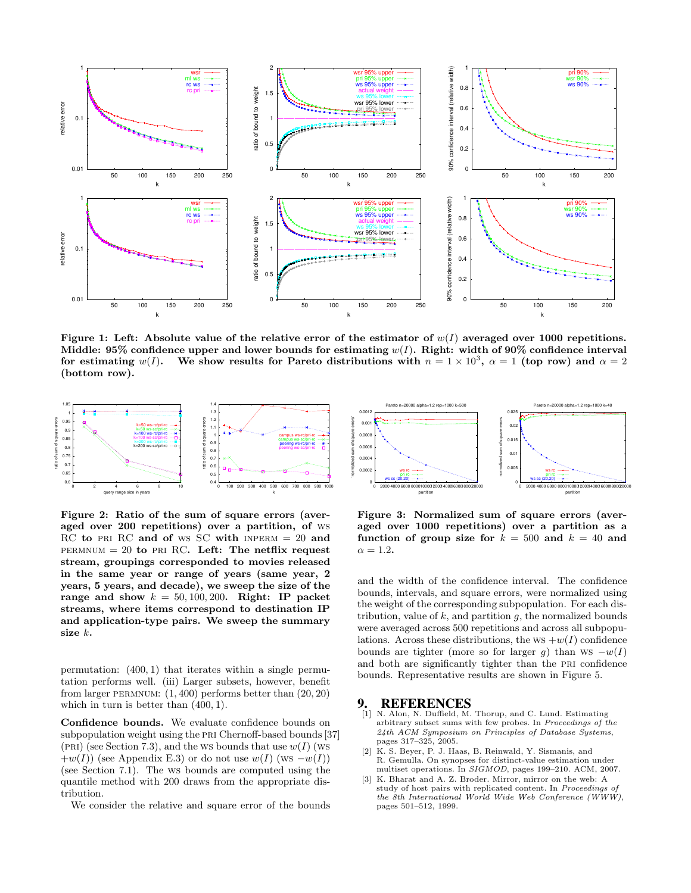

Figure 1: Left: Absolute value of the relative error of the estimator of  $w(I)$  averaged over 1000 repetitions. Middle: 95% confidence upper and lower bounds for estimating  $w(I)$ . Right: width of 90% confidence interval for estimating  $w(I)$ . We show results for Pareto distributions with  $n = 1 \times 10^3$ ,  $\alpha = 1$  (top row) and  $\alpha = 2$ (bottom row).



Figure 2: Ratio of the sum of square errors (averaged over 200 repetitions) over a partition, of ws RC to PRI RC and of WS SC with  $INPERM = 20$  and PERMNUM  $= 20$  to PRI RC. Left: The netflix request stream, groupings corresponded to movies released in the same year or range of years (same year, 2 years, 5 years, and decade), we sweep the size of the range and show  $k = 50, 100, 200$ . Right: IP packet streams, where items correspond to destination IP and application-type pairs. We sweep the summary size k.

permutation: (400, 1) that iterates within a single permutation performs well. (iii) Larger subsets, however, benefit from larger PERMNUM:  $(1, 400)$  performs better than  $(20, 20)$ which in turn is better than (400, 1).

Confidence bounds. We evaluate confidence bounds on subpopulation weight using the pri Chernoff-based bounds [37]  $(PRI)$  (see Section 7.3), and the ws bounds that use  $w(I)$  (ws  $+w(I)$  (see Appendix E.3) or do not use  $w(I)$  (ws  $-w(I)$ ) (see Section 7.1). The ws bounds are computed using the quantile method with 200 draws from the appropriate distribution.

We consider the relative and square error of the bounds



Figure 3: Normalized sum of square errors (averaged over 1000 repetitions) over a partition as a function of group size for  $k = 500$  and  $k = 40$  and  $\alpha = 1.2$ .

and the width of the confidence interval. The confidence bounds, intervals, and square errors, were normalized using the weight of the corresponding subpopulation. For each distribution, value of  $k$ , and partition  $q$ , the normalized bounds were averaged across 500 repetitions and across all subpopulations. Across these distributions, the ws  $+w(I)$  confidence bounds are tighter (more so for larger g) than ws  $-w(I)$ and both are significantly tighter than the PRI confidence bounds. Representative results are shown in Figure 5.

# **9. REFERENCES** [1] N. Alon, N. Duffield, M.

- N. Alon, N. Duffield, M. Thorup, and C. Lund. Estimating arbitrary subset sums with few probes. In Proceedings of the 24th ACM Symposium on Principles of Database Systems, pages 317–325, 2005.
- [2] K. S. Beyer, P. J. Haas, B. Reinwald, Y. Sismanis, and R. Gemulla. On synopses for distinct-value estimation under multiset operations. In SIGMOD, pages 199–210. ACM, 2007.
- [3] K. Bharat and A. Z. Broder. Mirror, mirror on the web: A study of host pairs with replicated content. In Proceedings of the 8th International World Wide Web Conference (WWW), pages 501–512, 1999.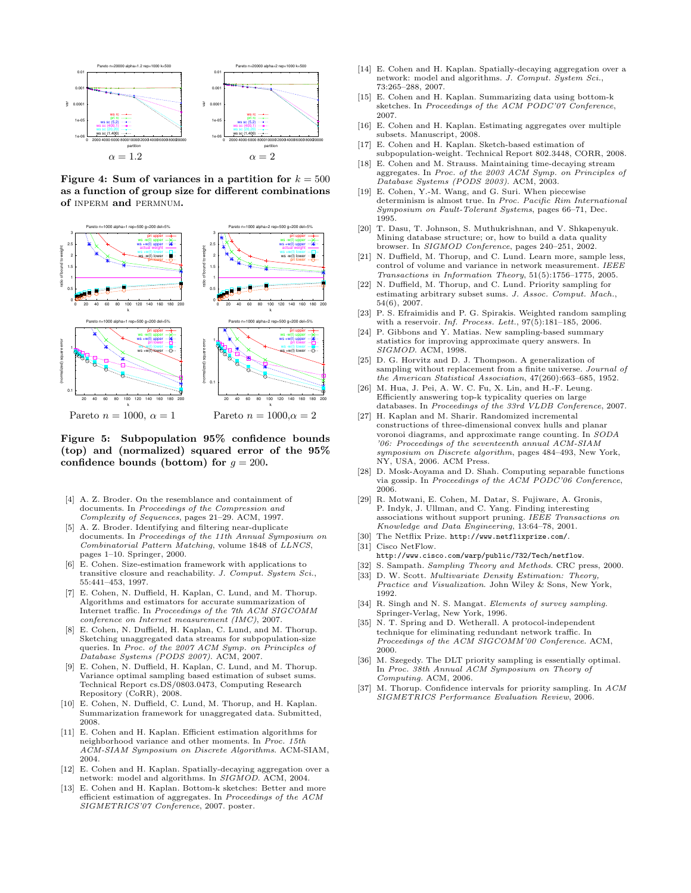

Figure 4: Sum of variances in a partition for  $k = 500$ as a function of group size for different combinations of inperm and permnum.



Figure 5: Subpopulation 95% confidence bounds (top) and (normalized) squared error of the 95% confidence bounds (bottom) for  $g = 200$ .

- [4] A. Z. Broder. On the resemblance and containment of documents. In Proceedings of the Compression and Complexity of Sequences, pages 21–29. ACM, 1997.
- [5] A. Z. Broder. Identifying and filtering near-duplicate documents. In Proceedings of the 11th Annual Symposium on Combinatorial Pattern Matching, volume 1848 of LLNCS, pages 1–10. Springer, 2000.
- [6] E. Cohen. Size-estimation framework with applications to transitive closure and reachability. J. Comput. System Sci., 55:441–453, 1997.
- [7] E. Cohen, N. Duffield, H. Kaplan, C. Lund, and M. Thorup. Algorithms and estimators for accurate summarization of Internet traffic. In Proceedings of the 7th ACM SIGCOMM conference on Internet measurement (IMC), 2007.
- [8] E. Cohen, N. Duffield, H. Kaplan, C. Lund, and M. Thorup. Sketching unaggregated data streams for subpopulation-size queries. In Proc. of the 2007 ACM Symp. on Principles of Database Systems (PODS 2007). ACM, 2007.
- [9] E. Cohen, N. Duffield, H. Kaplan, C. Lund, and M. Thorup. Variance optimal sampling based estimation of subset sums. Technical Report cs.DS/0803.0473, Computing Research Repository (CoRR), 2008.
- [10] E. Cohen, N. Duffield, C. Lund, M. Thorup, and H. Kaplan. Summarization framework for unaggregated data. Submitted, 2008.
- [11] E. Cohen and H. Kaplan. Efficient estimation algorithms for neighborhood variance and other moments. In Proc. 15th ACM-SIAM Symposium on Discrete Algorithms. ACM-SIAM, 2004.
- [12] E. Cohen and H. Kaplan. Spatially-decaying aggregation over a network: model and algorithms. In SIGMOD. ACM, 2004.
- [13] E. Cohen and H. Kaplan. Bottom-k sketches: Better and more efficient estimation of aggregates. In Proceedings of the ACM SIGMETRICS'07 Conference, 2007. poster.
- [14] E. Cohen and H. Kaplan. Spatially-decaying aggregation over a network: model and algorithms. J. Comput. System Sci., 73:265–288, 2007.
- [15] E. Cohen and H. Kaplan. Summarizing data using bottom-k sketches. In Proceedings of the ACM PODC'07 Conference, 2007.
- [16] E. Cohen and H. Kaplan. Estimating aggregates over multiple subsets. Manuscript, 2008.
- [17] E. Cohen and H. Kaplan. Sketch-based estimation of subpopulation-weight. Technical Report 802.3448, CORR, 2008.
- [18] E. Cohen and M. Strauss. Maintaining time-decaying stream aggregates. In Proc. of the 2003 ACM Symp. on Principles of Database Systems (PODS 2003). ACM, 2003.
- [19] E. Cohen, Y.-M. Wang, and G. Suri. When piecewise determinism is almost true. In Proc. Pacific Rim International Symposium on Fault-Tolerant Systems, pages 66–71, Dec. 1995.
- [20] T. Dasu, T. Johnson, S. Muthukrishnan, and V. Shkapenyuk. Mining database structure; or, how to build a data quality browser. In SIGMOD Conference, pages 240–251, 2002.
- [21] N. Duffield, M. Thorup, and C. Lund. Learn more, sample less control of volume and variance in network measurement. IEEE Transactions in Information Theory, 51(5):1756–1775, 2005.
- [22] N. Duffield, M. Thorup, and C. Lund. Priority sampling for estimating arbitrary subset sums. J. Assoc. Comput. Mach., 54(6), 2007.
- [23] P. S. Efraimidis and P. G. Spirakis. Weighted random sampling with a reservoir. *Inf. Process. Lett.*,  $97(5)$ :181-185, 2006.
- [24] P. Gibbons and Y. Matias. New sampling-based summary statistics for improving approximate query answers. In SIGMOD. ACM, 1998.
- [25] D. G. Horvitz and D. J. Thompson. A generalization of sampling without replacement from a finite universe. Journal of the American Statistical Association, 47(260):663–685, 1952.
- [26] M. Hua, J. Pei, A. W. C. Fu, X. Lin, and H.-F. Leung. Efficiently answering top-k typicality queries on large databases. In Proceedings of the 33rd VLDB Conference, 2007.
- [27] H. Kaplan and M. Sharir. Randomized incremental constructions of three-dimensional convex hulls and planar voronoi diagrams, and approximate range counting. In SODA '06: Proceedings of the seventeenth annual ACM-SIAM symposium on Discrete algorithm, pages 484–493, New York, NY, USA, 2006. ACM Press.
- [28] D. Mosk-Aoyama and D. Shah. Computing separable functions via gossip. In Proceedings of the ACM PODC'06 Conference, 2006.
- [29] R. Motwani, E. Cohen, M. Datar, S. Fujiware, A. Gronis, P. Indyk, J. Ullman, and C. Yang. Finding interesting associations without support pruning. IEEE Transactions on Knowledge and Data Engineering, 13:64–78, 2001.
- [30] The Netflix Prize. http://www.netflixprize.com/.
- [31] Cisco NetFlow.
- http://www.cisco.com/warp/public/732/Tech/netflow.
- [32] S. Sampath. Sampling Theory and Methods. CRC press, 2000.
- [33] D. W. Scott. Multivariate Density Estimation: Theory, Practice and Visualization. John Wiley & Sons, New York, 1992.
- [34] R. Singh and N. S. Mangat. Elements of survey sampling. Springer-Verlag, New York, 1996.
- [35] N. T. Spring and D. Wetherall. A protocol-independent technique for eliminating redundant network traffic. In<br>Proceedings of the ACM SIGCOMM'00 Conference. ACM, 2000.
- [36] M. Szegedy. The DLT priority sampling is essentially optimal. In Proc. 38th Annual ACM Symposium on Theory of Computing. ACM, 2006.
- [37] M. Thorup. Confidence intervals for priority sampling. In  $ACM$ SIGMETRICS Performance Evaluation Review, 2006.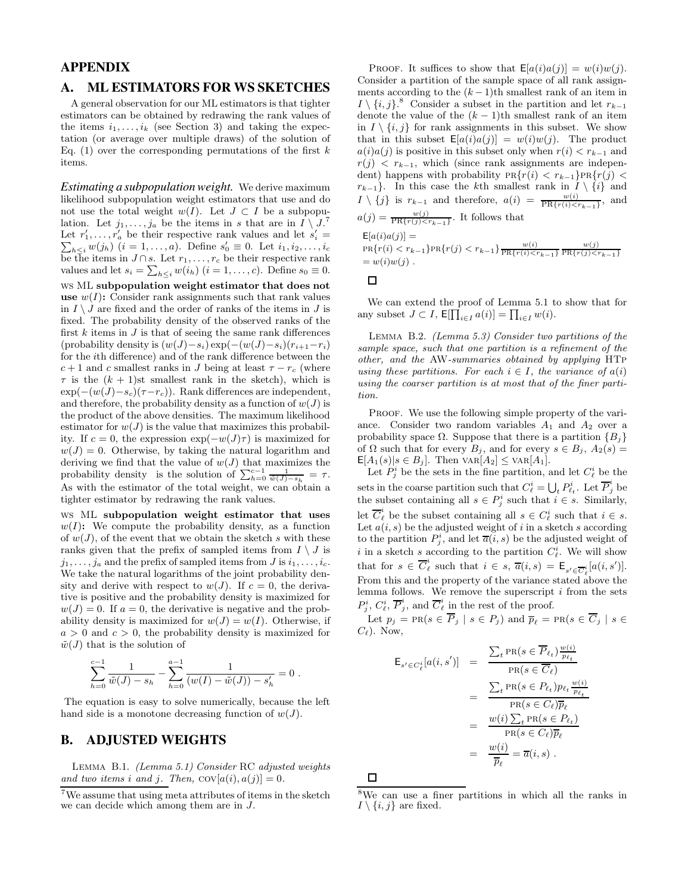# **APPENDIX**

## **A. ML ESTIMATORS FOR WS SKETCHES**

A general observation for our ML estimators is that tighter estimators can be obtained by redrawing the rank values of the items  $i_1, \ldots, i_k$  (see Section 3) and taking the expectation (or average over multiple draws) of the solution of Eq. (1) over the corresponding permutations of the first  $k$ items.

*Estimating a subpopulationweight.* We derive maximum likelihood subpopulation weight estimators that use and do not use the total weight  $w(I)$ . Let  $J \subset I$  be a subpopulation. Let  $j_1, \ldots, j_a$  be the items in s that are in  $I \setminus J$ .<sup>7</sup> Let  $r'_1, \ldots, r'_a$  be their respective rank values and let  $s'_i$ Let  $r'_1, \ldots, r'_a$  be their respective rank values and let  $s'_i = \sum_{h \leq i} w(j_h)$   $(i = 1, \ldots, a)$ . Define  $s'_0 \equiv 0$ . Let  $i_1, i_2, \ldots, i_c$ be the items in  $J \cap s$ . Let  $r_1, \ldots, r_c$  be their respective rank values and let  $s_i = \sum_{h \leq i} w(i_h)$   $(i = 1, \ldots, c)$ . Define  $s_0 \equiv 0$ . ws ML subpopulation weight estimator that does not use  $w(I)$ : Consider rank assignments such that rank values in  $I \setminus J$  are fixed and the order of ranks of the items in  $J$  is fixed. The probability density of the observed ranks of the first  $k$  items in  $J$  is that of seeing the same rank differences (probability density is  $(w(J)-s_i) \exp(-(w(J)-s_i)(r_{i+1}-r_i))$ for the ith difference) and of the rank difference between the  $c+1$  and c smallest ranks in J being at least  $\tau-r_c$  (where  $\tau$  is the  $(k + 1)$ st smallest rank in the sketch), which is  $\exp(-(w(J)-s_c)(\tau-r_c))$ . Rank differences are independent, and therefore, the probability density as a function of  $w(J)$  is the product of the above densities. The maximum likelihood estimator for  $w(J)$  is the value that maximizes this probability. If  $c = 0$ , the expression  $\exp(-w(J)\tau)$  is maximized for  $w(J) = 0$ . Otherwise, by taking the natural logarithm and deriving we find that the value of  $w(J)$  that maximizes the probability density is the solution of  $\sum_{h=0}^{c-1} \frac{1}{\tilde{w}(J)-s_h} = \tau$ . As with the estimator of the total weight, we can obtain a tighter estimator by redrawing the rank values.

ws ML subpopulation weight estimator that uses  $w(I)$ : We compute the probability density, as a function of  $w(J)$ , of the event that we obtain the sketch s with these ranks given that the prefix of sampled items from  $I \setminus J$  is  $j_1, \ldots, j_a$  and the prefix of sampled items from J is  $i_1, \ldots, i_c$ . We take the natural logarithms of the joint probability density and derive with respect to  $w(J)$ . If  $c = 0$ , the derivative is positive and the probability density is maximized for  $w(J) = 0$ . If  $a = 0$ , the derivative is negative and the probability density is maximized for  $w(J) = w(I)$ . Otherwise, if  $a > 0$  and  $c > 0$ , the probability density is maximized for  $\tilde{w}(J)$  that is the solution of

$$
\sum_{h=0}^{c-1} \frac{1}{\tilde{w}(J) - s_h} - \sum_{h=0}^{a-1} \frac{1}{(w(I) - \tilde{w}(J)) - s'_h} = 0.
$$

The equation is easy to solve numerically, because the left hand side is a monotone decreasing function of  $w(J)$ .

## **B. ADJUSTED WEIGHTS**

Lemma B.1. (Lemma 5.1) Consider RC adjusted weights and two items i and j. Then,  $cov[a(i), a(j)] = 0$ .

<sup>7</sup>We assume that using meta attributes of items in the sketch we can decide which among them are in J.

PROOF. It suffices to show that  $\mathsf{E}[a(i)a(j)] = w(i)w(j)$ . Consider a partition of the sample space of all rank assignments according to the  $(k-1)$ th smallest rank of an item in  $I \setminus \{i, j\}$ <sup>8</sup> Consider a subset in the partition and let  $r_{k-1}$ denote the value of the  $(k-1)$ th smallest rank of an item in  $I \setminus \{i, j\}$  for rank assignments in this subset. We show that in this subset  $E[a(i)a(j)] = w(i)w(j)$ . The product  $a(i)a(j)$  is positive in this subset only when  $r(i) < r_{k-1}$  and  $r(j) < r_{k-1}$ , which (since rank assignments are independent) happens with probability  $PR{r(i) < r_{k-1}}PR{r(j)}$  $r_{k-1}$ }. In this case the kth smallest rank in  $I \setminus \{i\}$  and  $I \setminus \{j\}$  is  $r_{k-1}$  and therefore,  $a(i) = \frac{w(i)}{PR\{r(i) < r_{k-1}\}}$ , and  $a(j) = \frac{w(j)}{\text{PR}\{r(j) < r_{k-1}\}}$ . It follows that  $\mathsf{E}[a(i)a(j)] =$  $\text{PR}\{r(i) < r_{k-1}\} \text{PR}\{r(j) < r_{k-1}\} \frac{w(i)}{\text{PR}\{r(i) < r_{k-1}\}} \frac{w(j)}{\text{PR}\{r(j) < r_{k-1}\}}$  $= w(i)w(j)$ .

 $\Box$ 

We can extend the proof of Lemma 5.1 to show that for any subset  $J \subset I$ ,  $\mathsf{E}[\prod_{i \in I} a(i)] = \prod_{i \in I} w(i)$ .

Lemma B.2. (Lemma 5.3) Consider two partitions of the sample space, such that one partition is a refinement of the other, and the AW-summaries obtained by applying HTp using these partitions. For each  $i \in I$ , the variance of  $a(i)$ using the coarser partition is at most that of the finer partition.

PROOF. We use the following simple property of the variance. Consider two random variables  $A_1$  and  $A_2$  over a probability space  $\Omega$ . Suppose that there is a partition  $\{B_i\}$ of  $\Omega$  such that for every  $B_j$ , and for every  $s \in B_j$ ,  $A_2(s)$  $E[A_1(s)|s \in B_j]$ . Then  $\text{VAR}[A_2] \leq \text{VAR}[A_1]$ .

Let  $P_j^i$  be the sets in the fine partition, and let  $C_{\ell}^i$  be the sets in the coarse partition such that  $C_{\ell}^{i} = \bigcup_{t} P_{\ell_{t}}^{i}$ . Let  $\overline{P}_{j}^{i}$  be the subset containing all  $s \in P_j^i$  such that  $i \in s$ . Similarly, let  $\overline{C}_{\ell}^{i}$  be the subset containing all  $s \in C_{\ell}^{i}$  such that  $i \in s$ . Let  $a(i, s)$  be the adjusted weight of i in a sketch s according to the partition  $P_j^i$ , and let  $\overline{a}(i,s)$  be the adjusted weight of i in a sketch s according to the partition  $C_{\ell}^{i}$ . We will show that for  $s \in \overline{C}_{\ell}^{i}$  such that  $i \in s$ ,  $\overline{a}(i,s) = \mathsf{E}_{s' \in \overline{C}_{\ell}^{i}}[a(i,s')]$ . From this and the property of the variance stated above the lemma follows. We remove the superscript  $i$  from the sets  $P_j^i, C_\ell^i, \overline{P}_j^i$ , and  $\overline{C}_\ell^i$  in the rest of the proof.

Let  $p_j = \text{PR}(s \in \overline{P}_j \mid s \in P_j)$  and  $\overline{p}_\ell = \text{PR}(s \in \overline{C}_j \mid s \in \overline{P}_j)$  $C_{\ell}$ ). Now,

$$
\mathsf{E}_{s' \in C_{\ell}^{i}}[a(i, s')] = \frac{\sum_{t} \text{PR}(s \in \overline{P}_{\ell_{t}}) \frac{w(i)}{p_{\ell_{t}}}}{\text{PR}(s \in \overline{C}_{\ell})}
$$
\n
$$
= \frac{\sum_{t} \text{PR}(s \in P_{\ell_{t}}) p_{\ell_{t}} \frac{w(i)}{p_{\ell_{t}}}}{\text{PR}(s \in C_{\ell}) \overline{p}_{\ell}}
$$
\n
$$
= \frac{w(i) \sum_{t} \text{PR}(s \in P_{\ell_{t}})}{\text{PR}(s \in C_{\ell}) \overline{p}_{\ell}}
$$
\n
$$
= \frac{w(i)}{\overline{p}_{\ell}} = \overline{a}(i, s) .
$$

□

<sup>8</sup>We can use a finer partitions in which all the ranks in  $I \setminus \{i, j\}$  are fixed.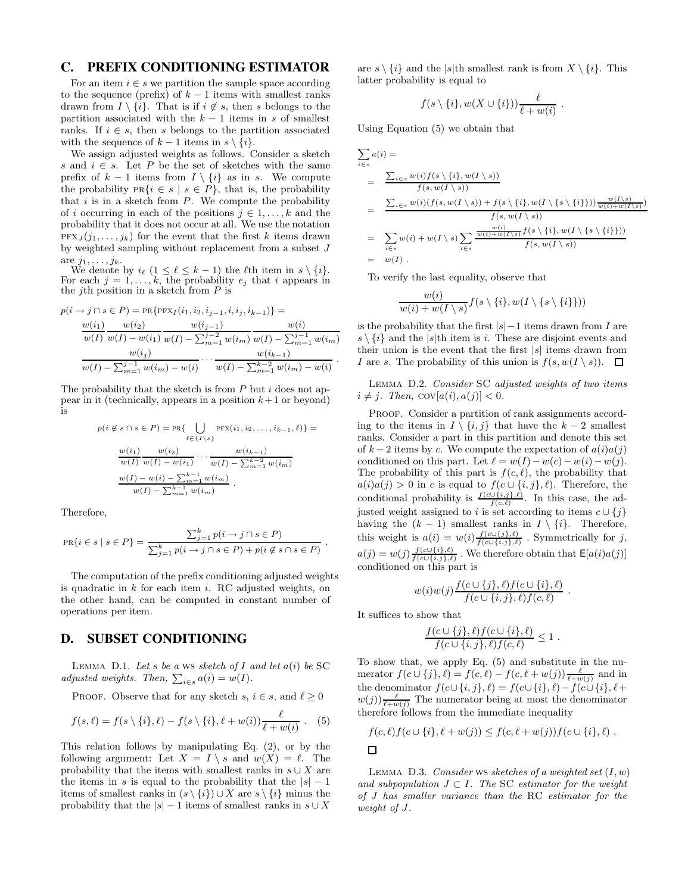## **C. PREFIX CONDITIONING ESTIMATOR**

For an item  $i \in s$  we partition the sample space according to the sequence (prefix) of  $k-1$  items with smallest ranks drawn from  $I \setminus \{i\}$ . That is if  $i \notin s$ , then s belongs to the partition associated with the  $k-1$  items in s of smallest ranks. If  $i \in s$ , then s belongs to the partition associated with the sequence of  $k-1$  items in  $s \setminus \{i\}.$ 

We assign adjusted weights as follows. Consider a sketch s and  $i \in s$ . Let P be the set of sketches with the same prefix of  $k-1$  items from  $I \setminus \{i\}$  as in s. We compute the probability  $PR\{i \in s \mid s \in P\}$ , that is, the probability that  $i$  is in a sketch from  $P$ . We compute the probability of i occurring in each of the positions  $j \in 1, \ldots, k$  and the probability that it does not occur at all. We use the notation  $PFX_J(j_1,\ldots,j_k)$  for the event that the first k items drawn by weighted sampling without replacement from a subset  $J$ are  $j_1, \ldots, j_k$ .

We denote by  $i_{\ell}$   $(1 \leq \ell \leq k - 1)$  the  $\ell$ th item in  $s \setminus \{i\}$ .<br>For each  $j = 1, ..., k$ , the probability  $e_j$  that i appears in the *j*th position in a sketch from  $P$  is

$$
p(i \to j \cap s \in P) = \Pr\{\Pr{Y_I(i_1, i_2, i_{j-1}, i, i_j, i_{k-1})\} = \frac{w(i_1)}{w(I) - w(i_1)} \frac{w(i_2)}{w(I) - \sum_{m=1}^{j-2} w(i_m)} \frac{w(i)}{w(I) - \sum_{m=1}^{j-1} w(i_m)}
$$
  

$$
\frac{w(i_j)}{w(I) - \sum_{m=1}^{j-1} w(i_m) - w(i)} \cdots \frac{w(i_{k-1})}{w(I) - \sum_{m=1}^{k-2} w(i_m) - w(i)}.
$$

The probability that the sketch is from  $P$  but  $i$  does not appear in it (technically, appears in a position  $k+1$  or beyond) is

$$
p(i \notin s \cap s \in P) = \text{PR}\left\{\bigcup_{\ell \in \{I \setminus s\}} \text{PFX}(i_1, i_2, \dots, i_{k-1}, \ell)\right\} =
$$

$$
\frac{w(i_1)}{w(I)} \cdot \frac{w(i_2)}{w(I) - w(i_1)} \cdots \frac{w(i_{k-1})}{w(I) - \sum_{m=1}^{k-2} w(i_m)}
$$

$$
\frac{w(I) - w(i) - \sum_{m=1}^{k-1} w(i_m)}{w(I) - \sum_{m=1}^{k-1} w(i_m)}.
$$

Therefore,

$$
\Pr\{i \in s \mid s \in P\} = \frac{\sum_{j=1}^{k} p(i \to j \cap s \in P)}{\sum_{j=1}^{k} p(i \to j \cap s \in P) + p(i \notin s \cap s \in P)}.
$$

The computation of the prefix conditioning adjusted weights is quadratic in  $k$  for each item  $i$ . RC adjusted weights, on the other hand, can be computed in constant number of operations per item.

### **D. SUBSET CONDITIONING**

LEMMA D.1. Let s be a WS sketch of I and let  $a(i)$  be SC adjusted weights. Then,  $\sum_{i \in s} a(i) = w(I)$ .

PROOF. Observe that for any sketch s,  $i \in s$ , and  $\ell \geq 0$ 

$$
f(s,\ell) = f(s \setminus \{i\}, \ell) - f(s \setminus \{i\}, \ell + w(i)) \frac{\ell}{\ell + w(i)}.
$$
 (5)

This relation follows by manipulating Eq. (2), or by the following argument: Let  $X = I \setminus s$  and  $w(X) = \ell$ . The probability that the items with smallest ranks in  $s \cup X$  are the items in s is equal to the probability that the  $|s| - 1$ items of smallest ranks in  $(s \setminus \{i\}) \cup X$  are  $s \setminus \{i\}$  minus the probability that the  $|s| - 1$  items of smallest ranks in  $s \cup X$ 

are  $s \setminus \{i\}$  and the  $|s|$ th smallest rank is from  $X \setminus \{i\}$ . This latter probability is equal to

$$
f(s\setminus\{i\}, w(X\cup\{i\}))\frac{\ell}{\ell+w(i)}
$$
.

Using Equation (5) we obtain that

$$
\sum_{i \in s} a(i) =
$$
\n
$$
= \frac{\sum_{i \in s} w(i) f(s \setminus \{i\}, w(I \setminus s))}{f(s, w(I \setminus s))}
$$
\n
$$
= \frac{\sum_{i \in s} w(i) (f(s, w(I \setminus s)) + f(s \setminus \{i\}, w(I \setminus \{s \setminus \{i\})) \frac{w(I \setminus s)}{w(i) + w(I \setminus s)})}{f(s, w(I \setminus s))}
$$
\n
$$
= \sum_{i \in s} w(i) + w(I \setminus s) \sum_{i \in s} \frac{w(i)}{w(i) + w(I \setminus s)} f(s \setminus \{i\}, w(I \setminus \{s \setminus \{i\}\}))}{f(s, w(I \setminus s))}
$$
\n
$$
= w(I).
$$

To verify the last equality, observe that

$$
\frac{w(i)}{w(i)+w(I\setminus s)}f(s\setminus \{i\}, w(I\setminus \{s\setminus \{i\}\}))
$$

is the probability that the first  $|s|-1$  items drawn from I are  $s \setminus \{i\}$  and the  $|s|$ th item is i. These are disjoint events and their union is the event that the first  $|s|$  items drawn from I are s. The probability of this union is  $f(s, w(I \setminus s))$ .  $\Box$ 

Lemma D.2. Consider SC adjusted weights of two items  $i \neq j$ . Then,  $cov[a(i), a(j)] < 0$ .

PROOF. Consider a partition of rank assignments according to the items in  $I \setminus \{i, j\}$  that have the  $k - 2$  smallest ranks. Consider a part in this partition and denote this set of  $k-2$  items by c. We compute the expectation of  $a(i)a(i)$ conditioned on this part. Let  $\ell = w(I) - w(c) - w(i) - w(j)$ . The probability of this part is  $f(c, \ell)$ , the probability that  $a(i)a(j) > 0$  in c is equal to  $f(c \cup \{i, j\}, \ell)$ . Therefore, the conditional probability is  $\frac{f(c \cup \{i,j\}, \ell)}{f(c, \ell)}$ . In this case, the adjusted weight assigned to i is set according to items  $c \cup \{j\}$ having the  $(k - 1)$  smallest ranks in  $I \setminus \{i\}$ . Therefore, this weight is  $a(i) = w(i) \frac{f(c \cup \{j\}, \ell)}{f(c \cup \{i,j\}, \ell)}$ . Symmetrically for j,  $a(j) = w(j) \frac{f(c \cup \{i\}, \ell)}{f(c \cup \{i,j\}, \ell)}$ . We therefore obtain that  $\mathsf{E}[a(i)a(j)]$ conditioned on this part is

$$
w(i)w(j)\frac{f(c\cup\{j\},\ell)f(c\cup\{i\},\ell)}{f(c\cup\{i,j\},\ell)f(c,\ell)}
$$

.

It suffices to show that

$$
\frac{f(c \cup \{j\}, \ell)f(c \cup \{i\}, \ell)}{f(c \cup \{i, j\}, \ell)f(c, \ell)} \leq 1.
$$

To show that, we apply Eq.  $(5)$  and substitute in the numerator  $f(c \cup \{j\}, \ell) = f(c, \ell) - f(c, \ell + w(j)) \frac{\ell}{\ell + w(j)}$  and in the denominator  $f(c \cup \{i, j\}, \ell) = f(c \cup \{i\}, \ell) - f(c \cup \{i\}, \ell +$  $w(j)$ )  $\frac{\ell}{\ell+w(j)}$  The numerator being at most the denominator therefore follows from the immediate inequality

$$
f(c,\ell)f(c \cup \{i\},\ell+w(j)) \leq f(c,\ell+w(j))f(c \cup \{i\},\ell).
$$

LEMMA D.3. Consider ws sketches of a weighted set  $(I, w)$ and subpopulation  $J \subset I$ . The SC estimator for the weight of J has smaller variance than the RC estimator for the weight of J.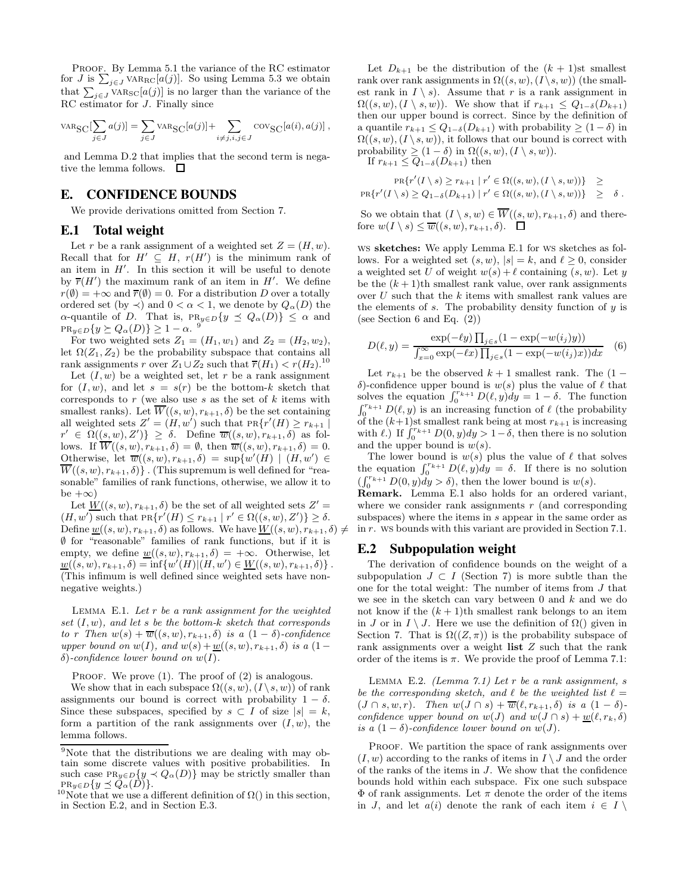PROOF. By Lemma 5.1 the variance of the RC estimator for J is  $\sum_{j\in J} \text{VAR}_{\text{RC}}[a(j)]$ . So using Lemma 5.3 we obtain that  $\sum_{j\in J} \text{VAR}_{\text{SC}}[a(j)]$  is no larger than the variance of the RC estimator for J. Finally since

$$
\text{VAR}_{\text{SC}}[\sum_{j \in J} a(j)] = \sum_{j \in J} \text{VAR}_{\text{SC}}[a(j)] + \sum_{i \neq j, i, j \in J} \text{cov}_{\text{SC}}[a(i), a(j)],
$$

and Lemma D.2 that implies that the second term is negative the lemma follows.  $\Box$ 

## **E. CONFIDENCE BOUNDS**

We provide derivations omitted from Section 7.

#### **E.1 Total weight**

Let r be a rank assignment of a weighted set  $Z = (H, w)$ . Recall that for  $H' \subseteq H$ ,  $r(H')$  is the minimum rank of an item in  $H'$ . In this section it will be useful to denote by  $\overline{r}(H')$  the maximum rank of an item in  $H'$ . We define  $r(\emptyset) = +\infty$  and  $\overline{r}(\emptyset) = 0$ . For a distribution D over a totally ordered set (by  $\prec$ ) and  $0 < \alpha < 1$ , we denote by  $Q_{\alpha}(D)$  the  $\alpha$ -quantile of D. That is,  $PR_{y\in D}\{y \leq Q_{\alpha}(D)\}\leq \alpha$  and  $PR_{y\in D}\{y\geq Q_{\alpha}(D)\}\geq 1-\alpha$ .<sup>9</sup>

For two weighted sets  $Z_1 = (H_1, w_1)$  and  $Z_2 = (H_2, w_2)$ , let  $\Omega(Z_1, Z_2)$  be the probability subspace that contains all rank assignments r over  $Z_1 \cup Z_2$  such that  $\overline{r}(H_1) < r(H_2)$ .<sup>10</sup>

Let  $(I, w)$  be a weighted set, let r be a rank assignment for  $(I, w)$ , and let  $s = s(r)$  be the bottom-k sketch that corresponds to  $r$  (we also use  $s$  as the set of  $k$  items with smallest ranks). Let  $\overline{W}((s, w), r_{k+1}, \delta)$  be the set containing all weighted sets  $Z' = (H, w')$  such that  $PR{r'(H) \ge r_{k+1}}$  $r' \in \Omega((s, w), Z')\} \geq \delta$ . Define  $\overline{w}((s, w), r_{k+1}, \delta)$  as follows. If  $\overline{W}((s, w), r_{k+1}, \delta) = \emptyset$ , then  $\overline{w}((s, w), r_{k+1}, \delta) = 0$ . Otherwise, let  $\overline{w}((s, w), r_{k+1}, \delta) = \sup \{w'(H) \mid (H, w') \in \overline{S}(\overline{W})\}$  $\overline{W}((s, w), r_{k+1}, \delta)$ . (This supremum is well defined for "reasonable" families of rank functions, otherwise, we allow it to be  $+\infty$ )

Let  $\underline{W}((s, w), r_{k+1}, \delta)$  be the set of all weighted sets  $Z' =$  $(H, w')$  such that  $\text{PR}\{r'(H) \leq r_{k+1} \mid r' \in \Omega((s, w), Z')\} \geq \delta.$ Define  $\underline{w}((s, w), r_{k+1}, \delta)$  as follows. We have  $\underline{W}((s, w), r_{k+1}, \delta) \neq \emptyset$ ∅ for "reasonable" families of rank functions, but if it is empty, we define  $\underline{w}((s, w), r_{k+1}, \delta) = +\infty$ . Otherwise, let  $\underline{w}((s, w), r_{k+1}, \delta) = \inf \{w'(H) | (H, w') \in \underline{W}((s, w), r_{k+1}, \delta) \}$ . (This infimum is well defined since weighted sets have nonnegative weights.)

LEMMA E.1. Let  $r$  be a rank assignment for the weighted set  $(I, w)$ , and let s be the bottom-k sketch that corresponds to r Then  $w(s) + \overline{w}((s, w), r_{k+1}, \delta)$  is a  $(1 - \delta)$ -confidence upper bound on  $w(I)$ , and  $w(s) + \underline{w}((s, w), r_{k+1}, \delta)$  is a  $(1$ δ)-confidence lower bound on w(I).

PROOF. We prove  $(1)$ . The proof of  $(2)$  is analogous.

We show that in each subspace  $\Omega((s, w), (I \setminus s, w))$  of rank assignments our bound is correct with probability  $1 - \delta$ . Since these subspaces, specified by  $s \subset I$  of size  $|s| = k$ , form a partition of the rank assignments over  $(I, w)$ , the lemma follows.

Let  $D_{k+1}$  be the distribution of the  $(k+1)$ st smallest rank over rank assignments in  $\Omega((s, w), (I \setminus s, w))$  (the smallest rank in  $I \setminus s$ . Assume that r is a rank assignment in  $\Omega((s, w), (I \setminus s, w))$ . We show that if  $r_{k+1} \leq Q_{1-\delta}(D_{k+1})$ then our upper bound is correct. Since by the definition of a quantile  $r_{k+1} \leq Q_{1-\delta}(D_{k+1})$  with probability  $\geq (1-\delta)$  in  $\Omega((s, w), (I \setminus s, w)),$  it follows that our bound is correct with probability  $\geq (1 - \delta)$  in  $\Omega((s, w), (I \setminus s, w)).$ 

If  $r_{k+1} \leq \overline{Q}_{1-\delta}(D_{k+1})$  then

$$
\Pr\{r'(I \setminus s) \ge r_{k+1} \mid r' \in \Omega((s, w), (I \setminus s, w))\} \ge
$$
  

$$
\Pr\{r'(I \setminus s) \ge Q_{1-\delta}(D_{k+1}) \mid r' \in \Omega((s, w), (I \setminus s, w))\} \ge \delta.
$$

So we obtain that  $(I \setminus s, w) \in \overline{W}((s, w), r_{k+1}, \delta)$  and therefore  $w(I \setminus s) \leq \overline{w}((s, w), r_{k+1}, \delta)$ .

ws sketches: We apply Lemma E.1 for ws sketches as follows. For a weighted set  $(s, w)$ ,  $|s| = k$ , and  $\ell \geq 0$ , consider a weighted set U of weight  $w(s) + \ell$  containing  $(s, w)$ . Let y be the  $(k + 1)$ th smallest rank value, over rank assignments over  $U$  such that the  $k$  items with smallest rank values are the elements of s. The probability density function of  $y$  is (see Section 6 and Eq. (2))

$$
D(\ell, y) = \frac{\exp(-\ell y) \prod_{j \in s} (1 - \exp(-w(i_j)y))}{\int_{x=0}^{\infty} \exp(-\ell x) \prod_{j \in s} (1 - \exp(-w(i_j)x)) dx} \quad (6)
$$

Let  $r_{k+1}$  be the observed  $k+1$  smallest rank. The  $(1$ δ)-confidence upper bound is  $w(s)$  plus the value of  $\ell$  that solves the equation  $\int_0^{r_{k+1}} D(\ell, y) dy = 1 - \delta$ . The function  $\int_{0}^{r_{k+1}} D(\ell, y)$  is an increasing function of  $\ell$  (the probability of the  $(k+1)$ st smallest rank being at most  $r_{k+1}$  is increasing with  $\ell$ .) If  $\int_0^{r_{k+1}} D(0, y) dy > 1 - \delta$ , then there is no solution and the upper bound is  $w(s)$ .

The lower bound is  $w(s)$  plus the value of  $\ell$  that solves the equation  $\int_0^{r_{k+1}} D(\ell, y) dy = \delta$ . If there is no solution  $(\int_0^{r_{k+1}} D(0, y) dy > \delta)$ , then the lower bound is  $w(s)$ .

Remark. Lemma E.1 also holds for an ordered variant, where we consider rank assignments  $r$  (and corresponding subspaces) where the items in s appear in the same order as in r. ws bounds with this variant are provided in Section 7.1.

#### **E.2 Subpopulation weight**

The derivation of confidence bounds on the weight of a subpopulation  $J \subset I$  (Section 7) is more subtle than the one for the total weight: The number of items from J that we see in the sketch can vary between  $0$  and  $k$  and we do not know if the  $(k + 1)$ th smallest rank belongs to an item in J or in  $I \setminus J$ . Here we use the definition of  $\Omega()$  given in Section 7. That is  $\Omega((Z,\pi))$  is the probability subspace of rank assignments over a weight list Z such that the rank order of the items is  $\pi$ . We provide the proof of Lemma 7.1:

LEMMA E.2. (Lemma  $7.1$ ) Let r be a rank assignment, s be the corresponding sketch, and  $\ell$  be the weighted list  $\ell =$  $(J \cap s, w, r)$ . Then  $w(J \cap s) + \overline{w}(\ell, r_{k+1}, \delta)$  is a  $(1 - \delta)$ confidence upper bound on  $w(J)$  and  $w(J \cap s) + \underline{w(\ell, r_k, \delta)}$ is a  $(1 - \delta)$ -confidence lower bound on w(J).

PROOF. We partition the space of rank assignments over  $(I, w)$  according to the ranks of items in  $I \setminus J$  and the order of the ranks of the items in J. We show that the confidence bounds hold within each subspace. Fix one such subspace  $Φ$  of rank assignments. Let π denote the order of the items in J, and let  $a(i)$  denote the rank of each item  $i \in I \setminus I$ 

<sup>&</sup>lt;sup>9</sup>Note that the distributions we are dealing with may obtain some discrete values with positive probabilities. In such case  $PR_{y \in D}\{y \prec Q_{\alpha}(D)\}\$  may be strictly smaller than  $PR_{y\in D}\{y\preceq Q_{\alpha}(D)\}.$ 

<sup>&</sup>lt;sup>10</sup>Note that we use a different definition of  $\Omega()$  in this section, in Section E.2, and in Section E.3.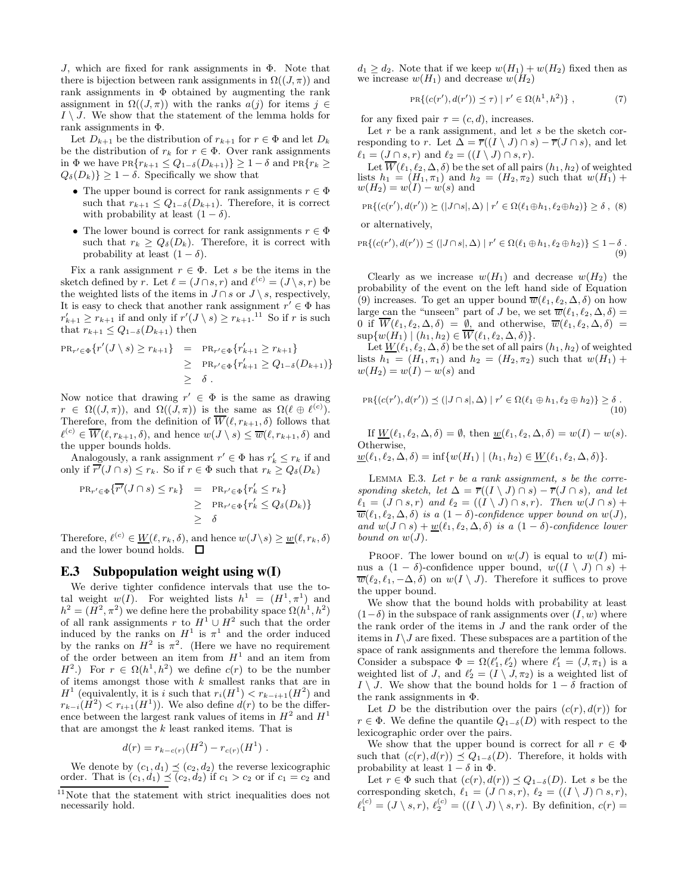J, which are fixed for rank assignments in Φ. Note that there is bijection between rank assignments in  $\Omega((J,\pi))$  and rank assignments in  $\Phi$  obtained by augmenting the rank assignment in  $\Omega((J,\pi))$  with the ranks  $a(j)$  for items  $j \in$  $I \setminus J$ . We show that the statement of the lemma holds for rank assignments in Φ.

Let  $D_{k+1}$  be the distribution of  $r_{k+1}$  for  $r \in \Phi$  and let  $D_k$ be the distribution of  $r_k$  for  $r \in \Phi$ . Over rank assignments in  $\Phi$  we have PR $\{r_{k+1} \leq Q_{1-\delta}(D_{k+1})\} \geq 1-\delta$  and PR $\{r_k \geq$  $Q_{\delta}(D_k) \geq 1 - \delta$ . Specifically we show that

- The upper bound is correct for rank assignments  $r \in \Phi$ such that  $r_{k+1} \leq Q_{1-\delta}(D_{k+1})$ . Therefore, it is correct with probability at least  $(1 - \delta)$ .
- The lower bound is correct for rank assignments  $r \in \Phi$ such that  $r_k \geq Q_{\delta}(D_k)$ . Therefore, it is correct with probability at least  $(1 - \delta)$ .

Fix a rank assignment  $r \in \Phi$ . Let s be the items in the sketch defined by r. Let  $\ell = (J \cap s, r)$  and  $\ell^{(c)} = (J \setminus s, r)$  be the weighted lists of the items in  $J \cap s$  or  $J \setminus s$ , respectively, It is easy to check that another rank assignment  $r' \in \Phi$  has  $r'_{k+1} \geq r_{k+1}$  if and only if  $r'(J \setminus s) \geq r_{k+1}$ .<sup>11</sup> So if r is such that  $r_{k+1} \leq Q_{1-\delta}(D_{k+1})$  then

$$
\begin{array}{rcl}\n\text{PR}_{r' \in \Phi}\{r'(J \setminus s) \geq r_{k+1}\} & = & \text{PR}_{r' \in \Phi}\{r'_{k+1} \geq r_{k+1}\} \\
& \geq & \text{PR}_{r' \in \Phi}\{r'_{k+1} \geq Q_{1-\delta}(D_{k+1})\} \\
& \geq & \delta \,.\n\end{array}
$$

Now notice that drawing  $r' \in \Phi$  is the same as drawing  $r \in \Omega((J,\pi))$ , and  $\Omega((J,\pi))$  is the same as  $\Omega(\ell \oplus \ell^{(c)})$ . Therefore, from the definition of  $\overline{W}(\ell, r_{k+1}, \delta)$  follows that  $\ell^{(c)} \in \overline{W}(\ell, r_{k+1}, \delta)$ , and hence  $w(J \setminus s) \leq \overline{w}(\ell, r_{k+1}, \delta)$  and the upper bounds holds.

Analogously, a rank assignment  $r' \in \Phi$  has  $r'_k \leq r_k$  if and only if  $\overline{r'}(J \cap s) \leq r_k$ . So if  $r \in \Phi$  such that  $r_k \geq Q_{\delta}(D_k)$ 

$$
\begin{array}{rcl}\n\mathrm{PR}_{r' \in \Phi} \{ \overline{r'}(J \cap s) \leq r_k \} & = & \mathrm{PR}_{r' \in \Phi} \{ r'_k \leq r_k \} \\
& \geq & \mathrm{PR}_{r' \in \Phi} \{ r'_k \leq Q_\delta(D_k) \} \\
& \geq & \delta\n\end{array}
$$

Therefore,  $\ell^{(c)} \in \underline{W}(\ell, r_k, \delta)$ , and hence  $w(J \backslash s) \geq \underline{w}(\ell, r_k, \delta)$ and the lower bound holds.  $\square$ 

### **E.3 Subpopulation weight using w(I)**

We derive tighter confidence intervals that use the total weight  $w(I)$ . For weighted lists  $h^1 = (H^1, \pi^1)$  and  $h^2 = (H^2, \pi^2)$  we define here the probability space  $\Omega(h^1, h^2)$ of all rank assignments r to  $H^1 \cup H^2$  such that the order induced by the ranks on  $H^1$  is  $\pi^1$  and the order induced by the ranks on  $H^2$  is  $\pi^2$ . (Here we have no requirement of the order between an item from  $H<sup>1</sup>$  and an item from  $H^2$ .) For  $r \in \Omega(h^1, h^2)$  we define  $c(r)$  to be the number of items amongst those with  $k$  smallest ranks that are in  $H^1$  (equivalently, it is i such that  $r_i(H^1) < r_{k-i+1}(H^2)$  and  $r_{k-i}(H^2) < r_{i+1}(H^1)$ ). We also define  $d(r)$  to be the difference between the largest rank values of items in  $H^2$  and  $H^1$ that are amongst the k least ranked items. That is

$$
d(r) = r_{k-c(r)}(H^2) - r_{c(r)}(H^1) .
$$

We denote by  $(c_1, d_1) \preceq (c_2, d_2)$  the reverse lexicographic order. That is  $(c_1, d_1) \preceq (c_2, d_2)$  if  $c_1 > c_2$  or if  $c_1 = c_2$  and  $d_1 > d_2$ . Note that if we keep  $w(H_1) + w(H_2)$  fixed then as we increase  $w(H_1)$  and decrease  $w(H_2)$ 

$$
PR\{(c(r'), d(r')) \le \tau) \mid r' \in \Omega(h^1, h^2)\},\tag{7}
$$

for any fixed pair  $\tau = (c, d)$ , increases.

Let  $r$  be a rank assignment, and let  $s$  be the sketch corresponding to r. Let  $\Delta = \overline{r}((I \setminus J) \cap s) - \overline{r}(J \cap s)$ , and let  $\ell_1 = (J \cap s, r)$  and  $\ell_2 = ((I \setminus J) \cap s, r).$ 

Let  $\overline{W}(\ell_1, \ell_2, \Delta, \delta)$  be the set of all pairs  $(h_1, h_2)$  of weighted lists  $h_1 = (H_1, \pi_1)$  and  $h_2 = (H_2, \pi_2)$  such that  $w(H_1)$  +  $w(H_2) = w(I) - w(s)$  and

$$
PR\{(c(r'),d(r'))\succeq (|J\cap s|,\Delta)\mid r'\in\Omega(\ell_1\oplus h_1,\ell_2\oplus h_2)\}\geq\delta\ ,\ (8)
$$

or alternatively,

$$
PR\{(c(r'),d(r')) \leq (|J \cap s|,\Delta) \mid r' \in \Omega(\ell_1 \oplus h_1, \ell_2 \oplus h_2)\} \leq 1-\delta.
$$
\n(9)

Clearly as we increase  $w(H_1)$  and decrease  $w(H_2)$  the probability of the event on the left hand side of Equation (9) increases. To get an upper bound  $\overline{w}(\ell_1, \ell_2, \Delta, \delta)$  on how large can the "unseen" part of J be, we set  $\overline{w}(\ell_1, \ell_2, \Delta, \delta) =$ 0 if  $\overline{W}(\ell_1, \ell_2, \Delta, \delta) = \emptyset$ , and otherwise,  $\overline{w}(\ell_1, \ell_2, \Delta, \delta) =$  $\sup \{ w(H_1) \mid (h_1, h_2) \in \overline{W}(\ell_1, \ell_2, \Delta, \delta) \}.$ 

Let  $W(\ell_1, \ell_2, \Delta, \delta)$  be the set of all pairs  $(h_1, h_2)$  of weighted lists  $h_1 = (H_1, \pi_1)$  and  $h_2 = (H_2, \pi_2)$  such that  $w(H_1)$  +  $w(H_2) = w(I) - w(s)$  and

$$
PR\{(c(r'), d(r')) \preceq (|J \cap s|, \Delta) \mid r' \in \Omega(\ell_1 \oplus h_1, \ell_2 \oplus h_2)\} \ge \delta.
$$
\n<sup>(10)</sup>

If  $\underline{W}(\ell_1, \ell_2, \Delta, \delta) = \emptyset$ , then  $\underline{w}(\ell_1, \ell_2, \Delta, \delta) = w(I) - w(s)$ . Otherwise,  $\underline{w}(\ell_1, \ell_2, \Delta, \delta) = \inf \{ w(H_1) | (h_1, h_2) \in \underline{W}(\ell_1, \ell_2, \Delta, \delta) \}.$ 

LEMMA E.3. Let  $r$  be a rank assignment,  $s$  be the corresponding sketch, let  $\Delta = \overline{r}((I \setminus J) \cap s) - \overline{r}(J \cap s)$ , and let  $\ell_1 = (J \cap s, r)$  and  $\ell_2 = ((I \setminus J) \cap s, r)$ . Then  $w(J \cap s)$  +  $\overline{w}(\ell_1, \ell_2, \Delta, \delta)$  is a  $(1 - \delta)$ -confidence upper bound on  $w(J)$ , and  $w(J \cap s) + w(\ell_1, \ell_2, \Delta, \delta)$  is a  $(1 - \delta)$ -confidence lower bound on  $w(J)$ .

PROOF. The lower bound on  $w(J)$  is equal to  $w(I)$  minus a  $(1 - \delta)$ -confidence upper bound,  $w((I \setminus J) \cap s)$  +  $\overline{w}(\ell_2, \ell_1, -\Delta, \delta)$  on  $w(I \setminus J)$ . Therefore it suffices to prove the upper bound.

We show that the bound holds with probability at least  $(1-\delta)$  in the subspace of rank assignments over  $(I, w)$  where the rank order of the items in  $J$  and the rank order of the items in  $I \setminus J$  are fixed. These subspaces are a partition of the space of rank assignments and therefore the lemma follows. Consider a subspace  $\Phi = \Omega(\ell'_1, \ell'_2)$  where  $\ell'_1 = (J, \pi_1)$  is a weighted list of J, and  $\ell'_2 = (I \setminus J, \pi_2)$  is a weighted list of I \ J. We show that the bound holds for  $1 - \delta$  fraction of the rank assignments in Φ.

Let D be the distribution over the pairs  $(c(r), d(r))$  for  $r \in \Phi$ . We define the quantile  $Q_{1-\delta}(D)$  with respect to the lexicographic order over the pairs.

We show that the upper bound is correct for all  $r \in \Phi$ such that  $(c(r), d(r)) \preceq Q_{1-\delta}(D)$ . Therefore, it holds with probability at least  $1 - \delta$  in  $\Phi$ .

Let  $r \in \Phi$  such that  $(c(r), d(r)) \preceq Q_{1-\delta}(D)$ . Let s be the corresponding sketch,  $\ell_1 = (J \cap s, r), \ell_2 = ((I \setminus J) \cap s, r),$  $\ell_1^{(c)} = (J \setminus s, r), \, \ell_2^{(c)} = ((I \setminus J) \setminus s, r).$  By definition,  $c(r) =$ 

 $11$ Note that the statement with strict inequalities does not necessarily hold.